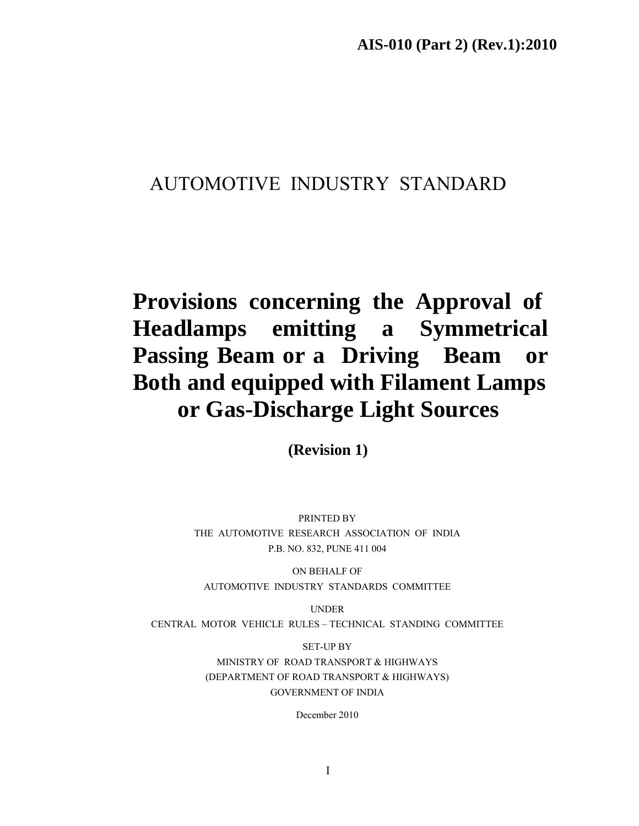# AUTOMOTIVE INDUSTRY STANDARD

# **Provisions concerning the Approval of Headlamps emitting a Symmetrical Passing Beam or a Driving Beam or Both and equipped with Filament Lamps or Gas-Discharge Light Sources**

**(Revision 1)** 

PRINTED BY THE AUTOMOTIVE RESEARCH ASSOCIATION OF INDIA P.B. NO. 832, PUNE 411 004

ON BEHALF OF AUTOMOTIVE INDUSTRY STANDARDS COMMITTEE

UNDER CENTRAL MOTOR VEHICLE RULES – TECHNICAL STANDING COMMITTEE

> SET-UP BY MINISTRY OF ROAD TRANSPORT & HIGHWAYS (DEPARTMENT OF ROAD TRANSPORT & HIGHWAYS) GOVERNMENT OF INDIA

> > December 2010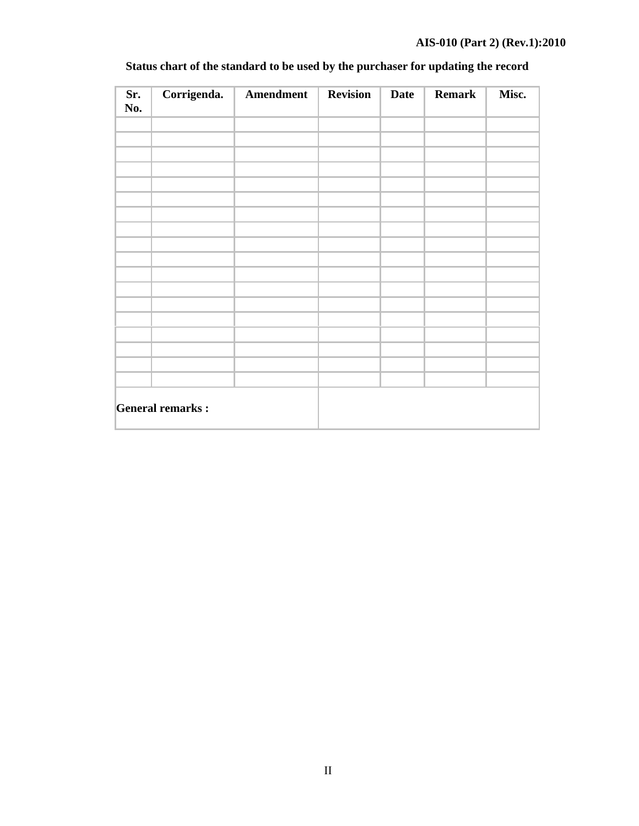| Sr.<br>No. | Corrigenda.             | <b>Amendment</b> | <b>Revision</b> | <b>Date</b> | <b>Remark</b> | Misc. |
|------------|-------------------------|------------------|-----------------|-------------|---------------|-------|
|            |                         |                  |                 |             |               |       |
|            |                         |                  |                 |             |               |       |
|            |                         |                  |                 |             |               |       |
|            |                         |                  |                 |             |               |       |
|            |                         |                  |                 |             |               |       |
|            |                         |                  |                 |             |               |       |
|            |                         |                  |                 |             |               |       |
|            |                         |                  |                 |             |               |       |
|            |                         |                  |                 |             |               |       |
|            |                         |                  |                 |             |               |       |
|            |                         |                  |                 |             |               |       |
|            |                         |                  |                 |             |               |       |
|            |                         |                  |                 |             |               |       |
|            |                         |                  |                 |             |               |       |
|            |                         |                  |                 |             |               |       |
|            |                         |                  |                 |             |               |       |
|            |                         |                  |                 |             |               |       |
|            |                         |                  |                 |             |               |       |
|            | <b>General remarks:</b> |                  |                 |             |               |       |

# **Status chart of the standard to be used by the purchaser for updating the record**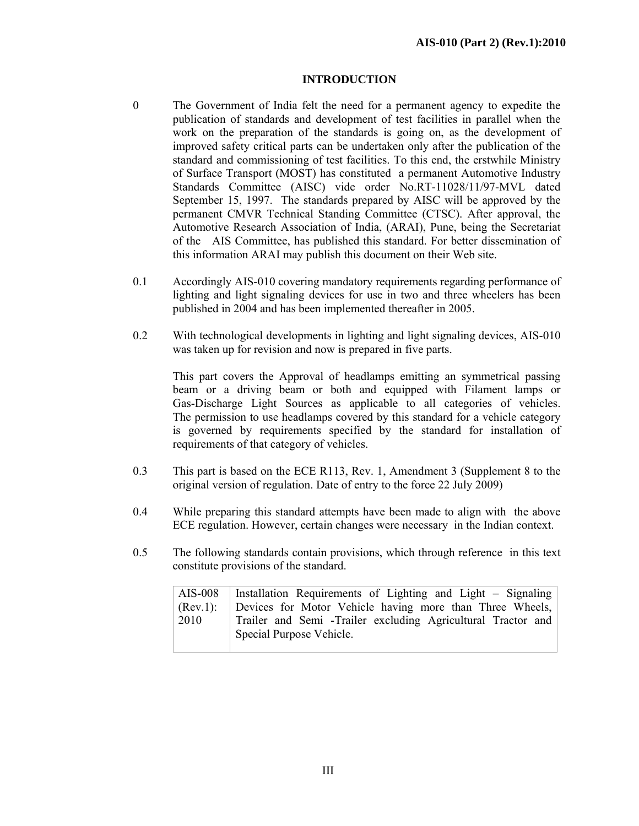## **INTRODUCTION**

- 0 The Government of India felt the need for a permanent agency to expedite the publication of standards and development of test facilities in parallel when the work on the preparation of the standards is going on, as the development of improved safety critical parts can be undertaken only after the publication of the standard and commissioning of test facilities. To this end, the erstwhile Ministry of Surface Transport (MOST) has constituted a permanent Automotive Industry Standards Committee (AISC) vide order No.RT-11028/11/97-MVL dated September 15, 1997. The standards prepared by AISC will be approved by the permanent CMVR Technical Standing Committee (CTSC). After approval, the Automotive Research Association of India, (ARAI), Pune, being the Secretariat of the AIS Committee, has published this standard. For better dissemination of this information ARAI may publish this document on their Web site.
- 0.1 Accordingly AIS-010 covering mandatory requirements regarding performance of lighting and light signaling devices for use in two and three wheelers has been published in 2004 and has been implemented thereafter in 2005.
- 0.2 With technological developments in lighting and light signaling devices, AIS-010 was taken up for revision and now is prepared in five parts.

This part covers the Approval of headlamps emitting an symmetrical passing beam or a driving beam or both and equipped with Filament lamps or Gas-Discharge Light Sources as applicable to all categories of vehicles. The permission to use headlamps covered by this standard for a vehicle category is governed by requirements specified by the standard for installation of requirements of that category of vehicles.

- 0.3 This part is based on the ECE R113, Rev. 1, Amendment 3 (Supplement 8 to the original version of regulation. Date of entry to the force 22 July 2009)
- 0.4 While preparing this standard attempts have been made to align with the above ECE regulation. However, certain changes were necessary in the Indian context.
- 0.5 The following standards contain provisions, which through reference in this text constitute provisions of the standard.

| AIS-008  | Installation Requirements of Lighting and Light – Signaling  |
|----------|--------------------------------------------------------------|
| (Rev.1): | Devices for Motor Vehicle having more than Three Wheels,     |
| 2010     | Trailer and Semi -Trailer excluding Agricultural Tractor and |
|          | Special Purpose Vehicle.                                     |
|          |                                                              |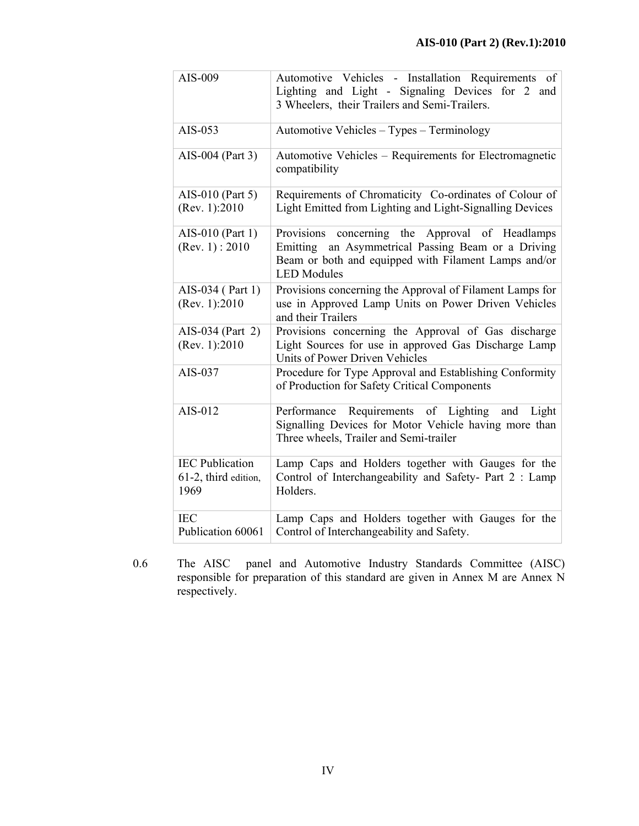| AIS-009                                                | Automotive Vehicles - Installation Requirements of<br>Lighting and Light - Signaling Devices for 2<br>and<br>3 Wheelers, their Trailers and Semi-Trailers.                          |  |  |  |
|--------------------------------------------------------|-------------------------------------------------------------------------------------------------------------------------------------------------------------------------------------|--|--|--|
| AIS-053                                                | Automotive Vehicles – Types – Terminology                                                                                                                                           |  |  |  |
| AIS-004 (Part 3)                                       | Automotive Vehicles - Requirements for Electromagnetic<br>compatibility                                                                                                             |  |  |  |
| AIS-010 (Part 5)<br>(Rev. 1): 2010                     | Requirements of Chromaticity Co-ordinates of Colour of<br>Light Emitted from Lighting and Light-Signalling Devices                                                                  |  |  |  |
| AIS-010 (Part 1)<br>(Rev. 1) : 2010                    | Provisions concerning the Approval of Headlamps<br>Emitting an Asymmetrical Passing Beam or a Driving<br>Beam or both and equipped with Filament Lamps and/or<br><b>LED</b> Modules |  |  |  |
| AIS-034 (Part 1)<br>(Rev. 1): 2010                     | Provisions concerning the Approval of Filament Lamps for<br>use in Approved Lamp Units on Power Driven Vehicles<br>and their Trailers                                               |  |  |  |
| AIS-034 (Part 2)<br>(Rev. 1):2010                      | Provisions concerning the Approval of Gas discharge<br>Light Sources for use in approved Gas Discharge Lamp<br>Units of Power Driven Vehicles                                       |  |  |  |
| AIS-037                                                | Procedure for Type Approval and Establishing Conformity<br>of Production for Safety Critical Components                                                                             |  |  |  |
| AIS-012                                                | Performance Requirements of Lighting<br>and Light<br>Signalling Devices for Motor Vehicle having more than<br>Three wheels, Trailer and Semi-trailer                                |  |  |  |
| <b>IEC Publication</b><br>61-2, third edition,<br>1969 | Lamp Caps and Holders together with Gauges for the<br>Control of Interchangeability and Safety- Part 2 : Lamp<br>Holders.                                                           |  |  |  |
| <b>IEC</b><br>Publication 60061                        | Lamp Caps and Holders together with Gauges for the<br>Control of Interchangeability and Safety.                                                                                     |  |  |  |

0.6 The AISC panel and Automotive Industry Standards Committee (AISC) responsible for preparation of this standard are given in Annex M are Annex N respectively.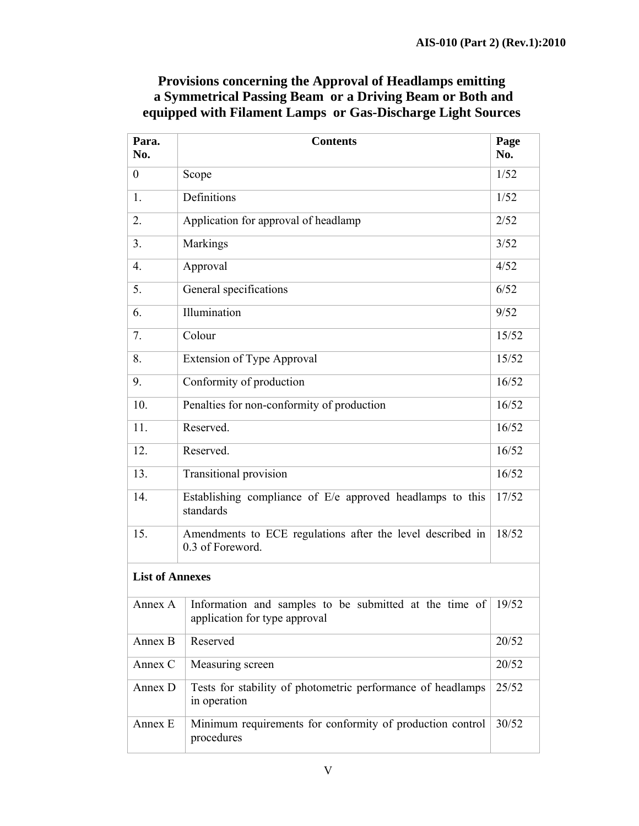# **Provisions concerning the Approval of Headlamps emitting a Symmetrical Passing Beam or a Driving Beam or Both and equipped with Filament Lamps or Gas-Discharge Light Sources**

| Para.<br>No.           | <b>Contents</b>                                                                                         | Page<br>No. |  |
|------------------------|---------------------------------------------------------------------------------------------------------|-------------|--|
| $\boldsymbol{0}$       | Scope                                                                                                   | 1/52        |  |
| 1.                     | Definitions                                                                                             | 1/52        |  |
| 2.                     | Application for approval of headlamp                                                                    | 2/52        |  |
| 3.                     | Markings                                                                                                | 3/52        |  |
| $\overline{4}$ .       | Approval<br>4/52                                                                                        |             |  |
| 5.                     | General specifications                                                                                  | 6/52        |  |
| 6.                     | Illumination                                                                                            | 9/52        |  |
| 7.                     | Colour                                                                                                  | 15/52       |  |
| 8.                     | <b>Extension of Type Approval</b>                                                                       | 15/52       |  |
| 9.                     | Conformity of production                                                                                |             |  |
| 10.                    | Penalties for non-conformity of production                                                              |             |  |
| 11.                    | Reserved.                                                                                               |             |  |
| 12.                    | Reserved.                                                                                               |             |  |
| 13.                    | <b>Transitional provision</b>                                                                           |             |  |
| 14.                    | Establishing compliance of E/e approved headlamps to this<br>standards                                  |             |  |
| 15.                    | Amendments to ECE regulations after the level described in<br>0.3 of Foreword.                          | 18/52       |  |
| <b>List of Annexes</b> |                                                                                                         |             |  |
|                        | Annex A   Information and samples to be submitted at the time of 19/52<br>application for type approval |             |  |
| Annex B                | Reserved                                                                                                |             |  |
| Annex C                | Measuring screen                                                                                        | 20/52       |  |
| Annex D                | Tests for stability of photometric performance of headlamps<br>in operation                             | 25/52       |  |
| Annex E                | Minimum requirements for conformity of production control<br>procedures                                 |             |  |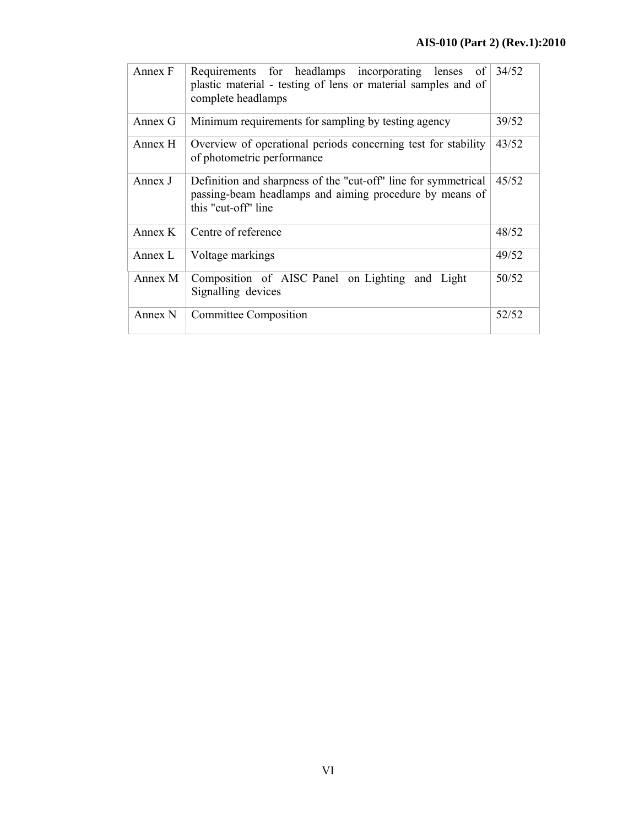| Annex F | Requirements for headlamps incorporating lenses of<br>plastic material - testing of lens or material samples and of<br>complete headlamps        | 34/52 |
|---------|--------------------------------------------------------------------------------------------------------------------------------------------------|-------|
| Annex G | Minimum requirements for sampling by testing agency                                                                                              | 39/52 |
| Annex H | Overview of operational periods concerning test for stability<br>of photometric performance                                                      | 43/52 |
| Annex J | Definition and sharpness of the "cut-off" line for symmetrical<br>passing-beam headlamps and aiming procedure by means of<br>this "cut-off" line | 45/52 |
| Annex K | Centre of reference                                                                                                                              | 48/52 |
| Annex L | Voltage markings                                                                                                                                 | 49/52 |
| Annex M | Composition of AISC Panel on Lighting and Light<br>Signalling devices                                                                            | 50/52 |
| Annex N | <b>Committee Composition</b>                                                                                                                     | 52/52 |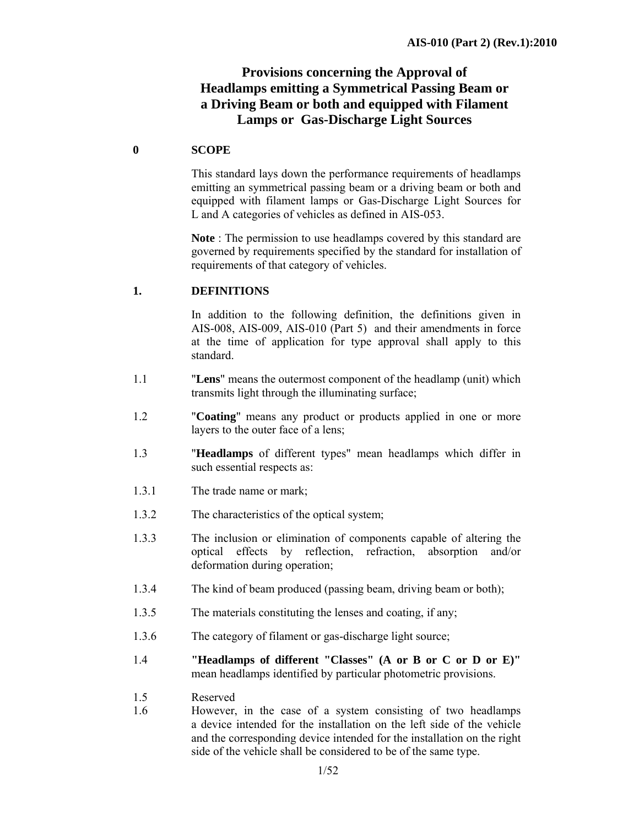# **Provisions concerning the Approval of Headlamps emitting a Symmetrical Passing Beam or a Driving Beam or both and equipped with Filament Lamps or Gas-Discharge Light Sources**

## **0 SCOPE**

 This standard lays down the performance requirements of headlamps emitting an symmetrical passing beam or a driving beam or both and equipped with filament lamps or Gas-Discharge Light Sources for L and A categories of vehicles as defined in AIS-053.

**Note** : The permission to use headlamps covered by this standard are governed by requirements specified by the standard for installation of requirements of that category of vehicles.

## **1. DEFINITIONS**

In addition to the following definition, the definitions given in AIS-008, AIS-009, AIS-010 (Part 5) and their amendments in force at the time of application for type approval shall apply to this standard.

- 1.1 "**Lens**" means the outermost component of the headlamp (unit) which transmits light through the illuminating surface;
- 1.2 "**Coating**" means any product or products applied in one or more layers to the outer face of a lens;
- 1.3 "**Headlamps** of different types" mean headlamps which differ in such essential respects as:
- 1.3.1 The trade name or mark;
- 1.3.2 The characteristics of the optical system;
- 1.3.3 The inclusion or elimination of components capable of altering the optical effects by reflection, refraction, absorption and/or deformation during operation;
- 1.3.4 The kind of beam produced (passing beam, driving beam or both);
- 1.3.5 The materials constituting the lenses and coating, if any;
- 1.3.6 The category of filament or gas-discharge light source;
- 1.4 **"Headlamps of different "Classes" (A or B or C or D or E)"** mean headlamps identified by particular photometric provisions.
- 1.5 Reserved
- 1.6 However, in the case of a system consisting of two headlamps a device intended for the installation on the left side of the vehicle and the corresponding device intended for the installation on the right side of the vehicle shall be considered to be of the same type.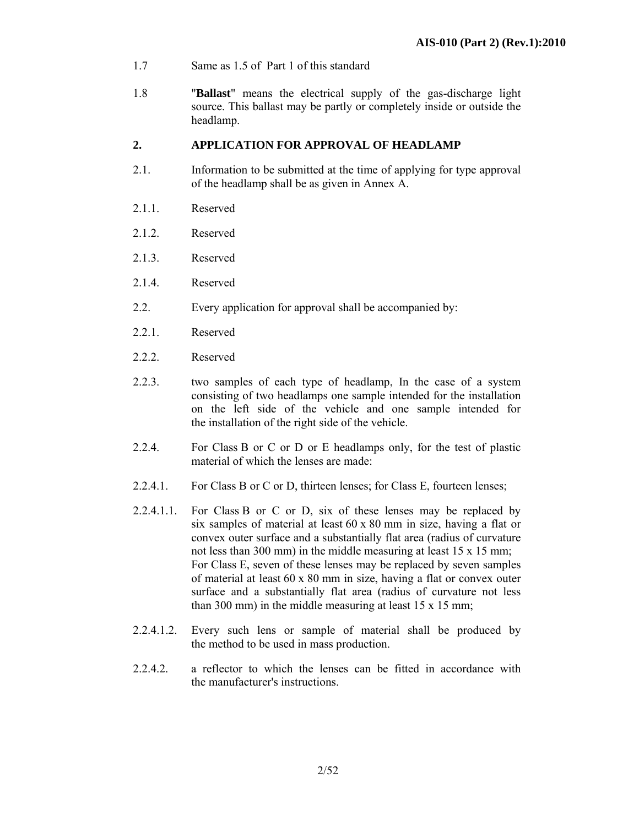- 1.7 Same as 1.5 of Part 1 of this standard
- 1.8 "**Ballast**" means the electrical supply of the gas-discharge light source. This ballast may be partly or completely inside or outside the headlamp.

#### **2. APPLICATION FOR APPROVAL OF HEADLAMP**

- 2.1. Information to be submitted at the time of applying for type approval of the headlamp shall be as given in Annex A.
- 2.1.1. Reserved
- 2.1.2. Reserved
- 2.1.3. Reserved
- 2.1.4. Reserved
- 2.2. Every application for approval shall be accompanied by:
- 2.2.1. Reserved
- 2.2.2. Reserved
- 2.2.3. two samples of each type of headlamp, In the case of a system consisting of two headlamps one sample intended for the installation on the left side of the vehicle and one sample intended for the installation of the right side of the vehicle.
- 2.2.4. For Class B or C or D or E headlamps only, for the test of plastic material of which the lenses are made:
- 2.2.4.1. For Class B or C or D, thirteen lenses; for Class E, fourteen lenses;
- 2.2.4.1.1. For Class B or C or D, six of these lenses may be replaced by six samples of material at least 60 x 80 mm in size, having a flat or convex outer surface and a substantially flat area (radius of curvature not less than 300 mm) in the middle measuring at least 15 x 15 mm; For Class E, seven of these lenses may be replaced by seven samples of material at least 60 x 80 mm in size, having a flat or convex outer surface and a substantially flat area (radius of curvature not less than 300 mm) in the middle measuring at least  $15 \times 15$  mm;
- 2.2.4.1.2. Every such lens or sample of material shall be produced by the method to be used in mass production.
- 2.2.4.2. a reflector to which the lenses can be fitted in accordance with the manufacturer's instructions.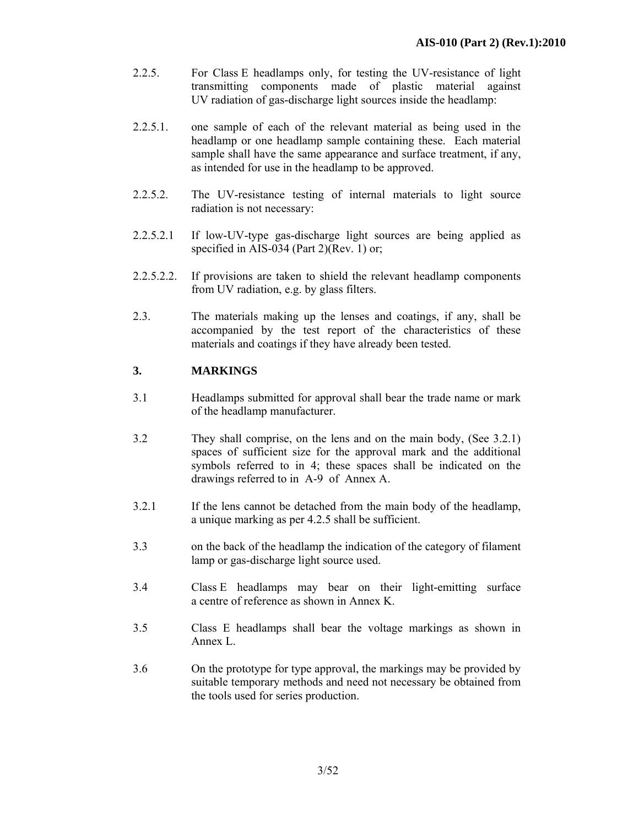- 2.2.5. For Class E headlamps only, for testing the UV-resistance of light transmitting components made of plastic material against UV radiation of gas-discharge light sources inside the headlamp:
- 2.2.5.1. one sample of each of the relevant material as being used in the headlamp or one headlamp sample containing these. Each material sample shall have the same appearance and surface treatment, if any, as intended for use in the headlamp to be approved.
- 2.2.5.2. The UV-resistance testing of internal materials to light source radiation is not necessary:
- 2.2.5.2.1 If low-UV-type gas-discharge light sources are being applied as specified in AIS-034 (Part 2)(Rev. 1) or;
- 2.2.5.2.2. If provisions are taken to shield the relevant headlamp components from UV radiation, e.g. by glass filters.
- 2.3. The materials making up the lenses and coatings, if any, shall be accompanied by the test report of the characteristics of these materials and coatings if they have already been tested.

## **3. MARKINGS**

- 3.1 Headlamps submitted for approval shall bear the trade name or mark of the headlamp manufacturer.
- 3.2 They shall comprise, on the lens and on the main body, (See 3.2.1) spaces of sufficient size for the approval mark and the additional symbols referred to in 4; these spaces shall be indicated on the drawings referred to in A-9 of Annex A.
- 3.2.1 If the lens cannot be detached from the main body of the headlamp, a unique marking as per 4.2.5 shall be sufficient.
- 3.3 on the back of the headlamp the indication of the category of filament lamp or gas-discharge light source used.
- 3.4 Class E headlamps may bear on their light-emitting surface a centre of reference as shown in Annex K.
- 3.5 Class E headlamps shall bear the voltage markings as shown in Annex L.
- 3.6 On the prototype for type approval, the markings may be provided by suitable temporary methods and need not necessary be obtained from the tools used for series production.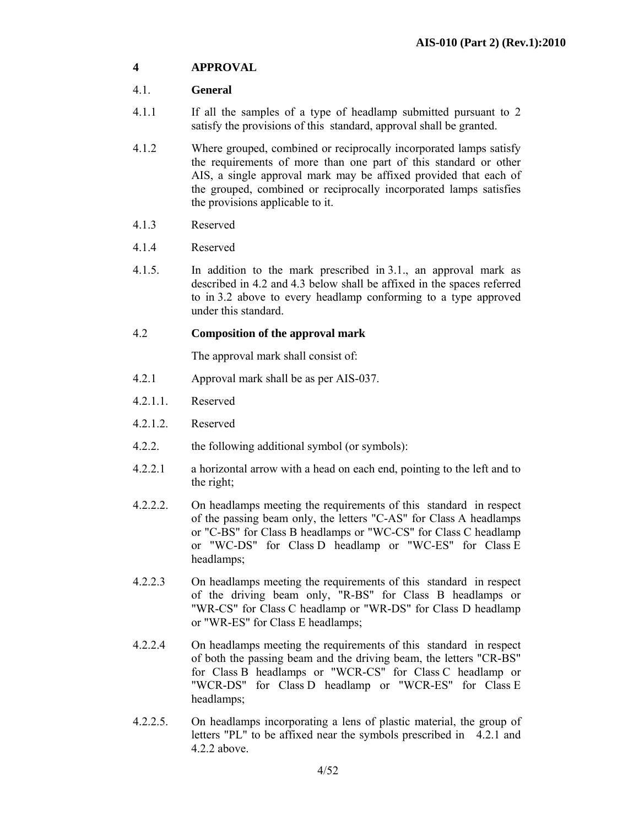## **4 APPROVAL**

## 4.1. **General**

- 4.1.1 If all the samples of a type of headlamp submitted pursuant to 2 satisfy the provisions of this standard, approval shall be granted.
- 4.1.2 Where grouped, combined or reciprocally incorporated lamps satisfy the requirements of more than one part of this standard or other AIS, a single approval mark may be affixed provided that each of the grouped, combined or reciprocally incorporated lamps satisfies the provisions applicable to it.
- 4.1.3 Reserved
- 4.1.4 Reserved
- 4.1.5. In addition to the mark prescribed in 3.1., an approval mark as described in 4.2 and 4.3 below shall be affixed in the spaces referred to in 3.2 above to every headlamp conforming to a type approved under this standard.

## 4.2 **Composition of the approval mark**

The approval mark shall consist of:

- 4.2.1 Approval mark shall be as per AIS-037.
- 4.2.1.1. Reserved
- 4.2.1.2. Reserved
- 4.2.2. the following additional symbol (or symbols):
- 4.2.2.1 a horizontal arrow with a head on each end, pointing to the left and to the right;
- 4.2.2.2. On headlamps meeting the requirements of this standard in respect of the passing beam only, the letters "C-AS" for Class A headlamps or "C-BS" for Class B headlamps or "WC-CS" for Class C headlamp or "WC-DS" for Class D headlamp or "WC-ES" for Class E headlamps;
- 4.2.2.3 On headlamps meeting the requirements of this standard in respect of the driving beam only, "R-BS" for Class B headlamps or "WR-CS" for Class C headlamp or "WR-DS" for Class D headlamp or "WR-ES" for Class E headlamps;
- 4.2.2.4 On headlamps meeting the requirements of this standard in respect of both the passing beam and the driving beam, the letters "CR-BS" for Class B headlamps or "WCR-CS" for Class C headlamp or "WCR-DS" for Class D headlamp or "WCR-ES" for Class E headlamps;
- 4.2.2.5. On headlamps incorporating a lens of plastic material, the group of letters "PL" to be affixed near the symbols prescribed in 4.2.1 and 4.2.2 above.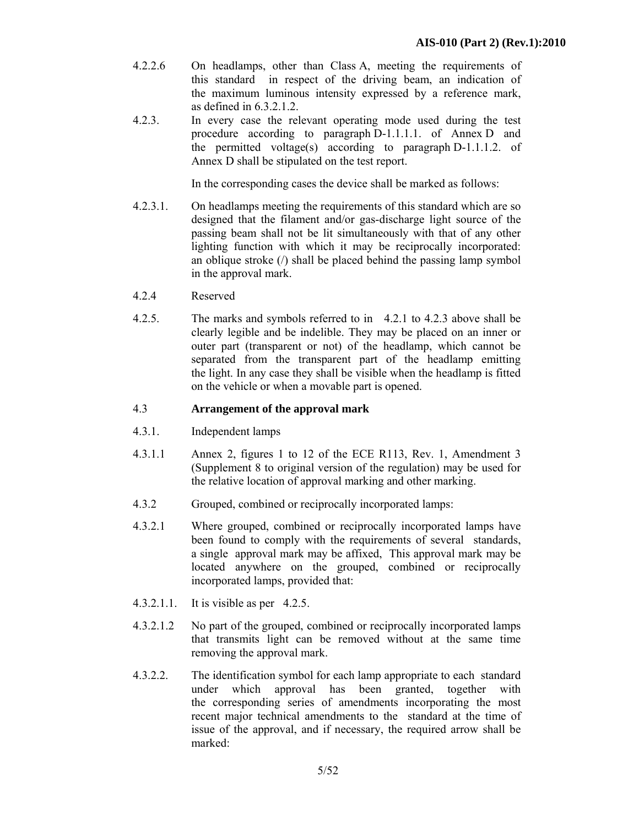- 4.2.2.6 On headlamps, other than Class A, meeting the requirements of this standard in respect of the driving beam, an indication of the maximum luminous intensity expressed by a reference mark, as defined in 6.3.2.1.2.
- 4.2.3. In every case the relevant operating mode used during the test procedure according to paragraph D-1.1.1.1. of Annex D and the permitted voltage(s) according to paragraph D-1.1.1.2. of Annex D shall be stipulated on the test report.

In the corresponding cases the device shall be marked as follows:

- 4.2.3.1. On headlamps meeting the requirements of this standard which are so designed that the filament and/or gas-discharge light source of the passing beam shall not be lit simultaneously with that of any other lighting function with which it may be reciprocally incorporated: an oblique stroke  $($ ) shall be placed behind the passing lamp symbol in the approval mark.
- 4.2.4 Reserved
- 4.2.5. The marks and symbols referred to in 4.2.1 to 4.2.3 above shall be clearly legible and be indelible. They may be placed on an inner or outer part (transparent or not) of the headlamp, which cannot be separated from the transparent part of the headlamp emitting the light. In any case they shall be visible when the headlamp is fitted on the vehicle or when a movable part is opened.

## 4.3 **Arrangement of the approval mark**

- 4.3.1. Independent lamps
- 4.3.1.1 Annex 2, figures 1 to 12 of the ECE R113, Rev. 1, Amendment 3 (Supplement 8 to original version of the regulation) may be used for the relative location of approval marking and other marking.
- 4.3.2 Grouped, combined or reciprocally incorporated lamps:
- 4.3.2.1 Where grouped, combined or reciprocally incorporated lamps have been found to comply with the requirements of several standards, a single approval mark may be affixed, This approval mark may be located anywhere on the grouped, combined or reciprocally incorporated lamps, provided that:
- 4.3.2.1.1. It is visible as per 4.2.5.
- 4.3.2.1.2 No part of the grouped, combined or reciprocally incorporated lamps that transmits light can be removed without at the same time removing the approval mark.
- 4.3.2.2. The identification symbol for each lamp appropriate to each standard under which approval has been granted, together with the corresponding series of amendments incorporating the most recent major technical amendments to the standard at the time of issue of the approval, and if necessary, the required arrow shall be marked: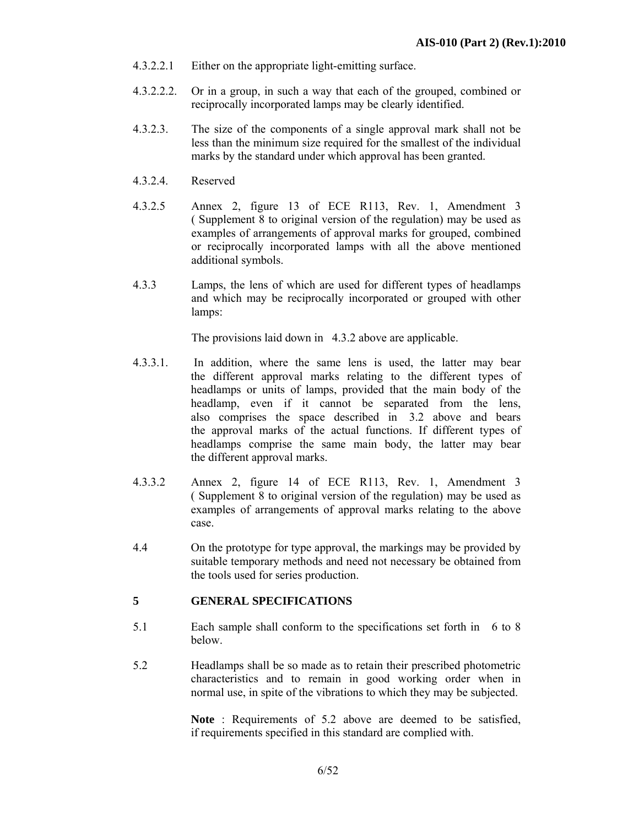- 4.3.2.2.1 Either on the appropriate light-emitting surface.
- 4.3.2.2.2. Or in a group, in such a way that each of the grouped, combined or reciprocally incorporated lamps may be clearly identified.
- 4.3.2.3. The size of the components of a single approval mark shall not be less than the minimum size required for the smallest of the individual marks by the standard under which approval has been granted.
- 4.3.2.4. Reserved
- 4.3.2.5 Annex 2, figure 13 of ECE R113, Rev. 1, Amendment 3 ( Supplement 8 to original version of the regulation) may be used as examples of arrangements of approval marks for grouped, combined or reciprocally incorporated lamps with all the above mentioned additional symbols.
- 4.3.3 Lamps, the lens of which are used for different types of headlamps and which may be reciprocally incorporated or grouped with other lamps:

The provisions laid down in 4.3.2 above are applicable.

- 4.3.3.1. In addition, where the same lens is used, the latter may bear the different approval marks relating to the different types of headlamps or units of lamps, provided that the main body of the headlamp, even if it cannot be separated from the lens, also comprises the space described in 3.2 above and bears the approval marks of the actual functions. If different types of headlamps comprise the same main body, the latter may bear the different approval marks.
- 4.3.3.2 Annex 2, figure 14 of ECE R113, Rev. 1, Amendment 3 ( Supplement 8 to original version of the regulation) may be used as examples of arrangements of approval marks relating to the above case.
- 4.4 On the prototype for type approval, the markings may be provided by suitable temporary methods and need not necessary be obtained from the tools used for series production.

#### **5 GENERAL SPECIFICATIONS**

- 5.1 Each sample shall conform to the specifications set forth in 6 to 8 below.
- 5.2 Headlamps shall be so made as to retain their prescribed photometric characteristics and to remain in good working order when in normal use, in spite of the vibrations to which they may be subjected.

**Note** : Requirements of 5.2 above are deemed to be satisfied, if requirements specified in this standard are complied with.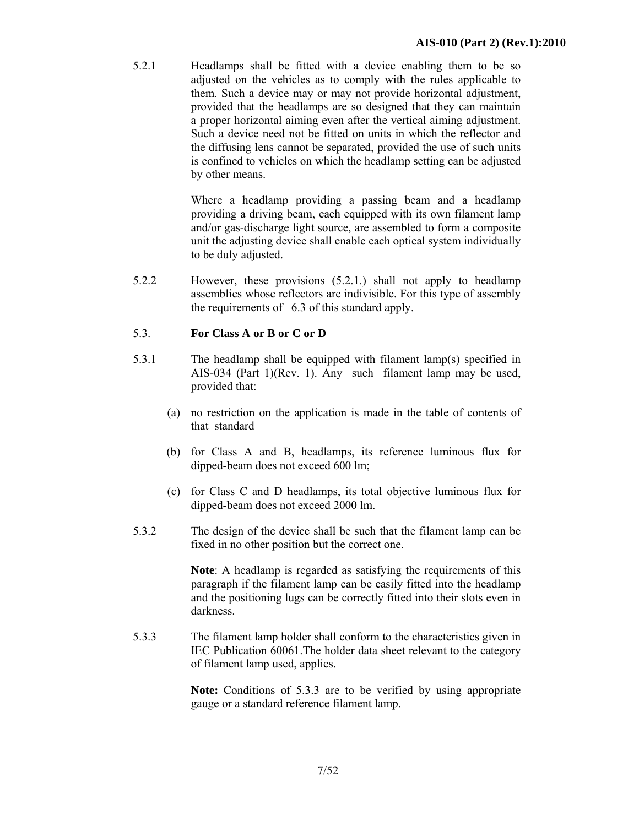5.2.1 Headlamps shall be fitted with a device enabling them to be so adjusted on the vehicles as to comply with the rules applicable to them. Such a device may or may not provide horizontal adjustment, provided that the headlamps are so designed that they can maintain a proper horizontal aiming even after the vertical aiming adjustment. Such a device need not be fitted on units in which the reflector and the diffusing lens cannot be separated, provided the use of such units is confined to vehicles on which the headlamp setting can be adjusted by other means.

> Where a headlamp providing a passing beam and a headlamp providing a driving beam, each equipped with its own filament lamp and/or gas-discharge light source, are assembled to form a composite unit the adjusting device shall enable each optical system individually to be duly adjusted.

5.2.2 However, these provisions (5.2.1.) shall not apply to headlamp assemblies whose reflectors are indivisible. For this type of assembly the requirements of 6.3 of this standard apply.

## 5.3. **For Class A or B or C or D**

- 5.3.1 The headlamp shall be equipped with filament lamp(s) specified in AIS-034 (Part 1)(Rev. 1). Any such filament lamp may be used, provided that:
	- (a) no restriction on the application is made in the table of contents of that standard
	- (b) for Class A and B, headlamps, its reference luminous flux for dipped-beam does not exceed 600 lm;
	- (c) for Class C and D headlamps, its total objective luminous flux for dipped-beam does not exceed 2000 lm.
- 5.3.2 The design of the device shall be such that the filament lamp can be fixed in no other position but the correct one.

**Note**: A headlamp is regarded as satisfying the requirements of this paragraph if the filament lamp can be easily fitted into the headlamp and the positioning lugs can be correctly fitted into their slots even in darkness.

5.3.3 The filament lamp holder shall conform to the characteristics given in IEC Publication 60061.The holder data sheet relevant to the category of filament lamp used, applies.

> **Note:** Conditions of 5.3.3 are to be verified by using appropriate gauge or a standard reference filament lamp.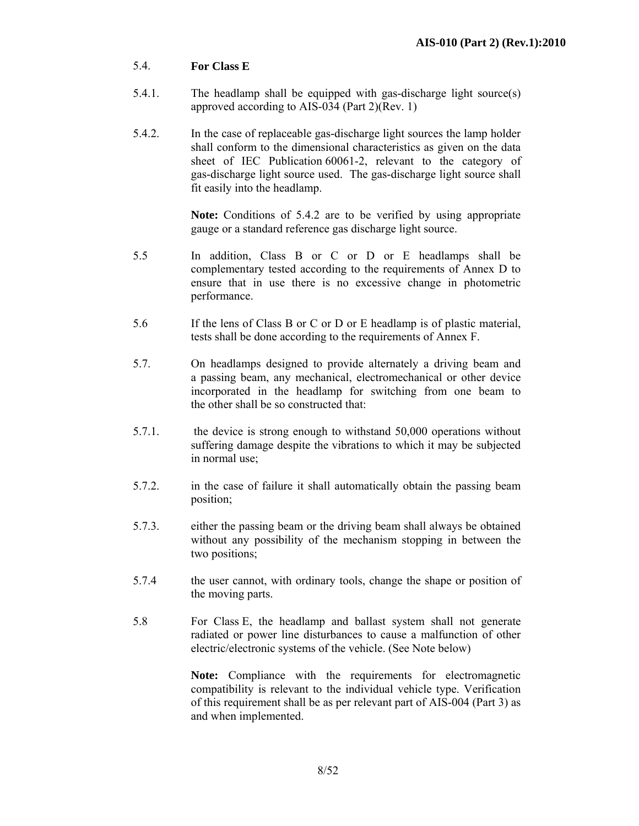## 5.4. **For Class E**

- 5.4.1. The headlamp shall be equipped with gas-discharge light source(s) approved according to AIS-034 (Part 2)(Rev. 1)
- 5.4.2. In the case of replaceable gas-discharge light sources the lamp holder shall conform to the dimensional characteristics as given on the data sheet of IEC Publication 60061-2, relevant to the category of gas-discharge light source used. The gas-discharge light source shall fit easily into the headlamp.

**Note:** Conditions of 5.4.2 are to be verified by using appropriate gauge or a standard reference gas discharge light source.

- 5.5 In addition, Class B or C or D or E headlamps shall be complementary tested according to the requirements of Annex D to ensure that in use there is no excessive change in photometric performance.
- 5.6 If the lens of Class B or C or D or E headlamp is of plastic material, tests shall be done according to the requirements of Annex F.
- 5.7. On headlamps designed to provide alternately a driving beam and a passing beam, any mechanical, electromechanical or other device incorporated in the headlamp for switching from one beam to the other shall be so constructed that:
- 5.7.1. the device is strong enough to withstand 50,000 operations without suffering damage despite the vibrations to which it may be subjected in normal use;
- 5.7.2. in the case of failure it shall automatically obtain the passing beam position;
- 5.7.3. either the passing beam or the driving beam shall always be obtained without any possibility of the mechanism stopping in between the two positions;
- 5.7.4 the user cannot, with ordinary tools, change the shape or position of the moving parts.
- 5.8 For Class E, the headlamp and ballast system shall not generate radiated or power line disturbances to cause a malfunction of other electric/electronic systems of the vehicle. (See Note below)

**Note:** Compliance with the requirements for electromagnetic compatibility is relevant to the individual vehicle type. Verification of this requirement shall be as per relevant part of AIS-004 (Part 3) as and when implemented.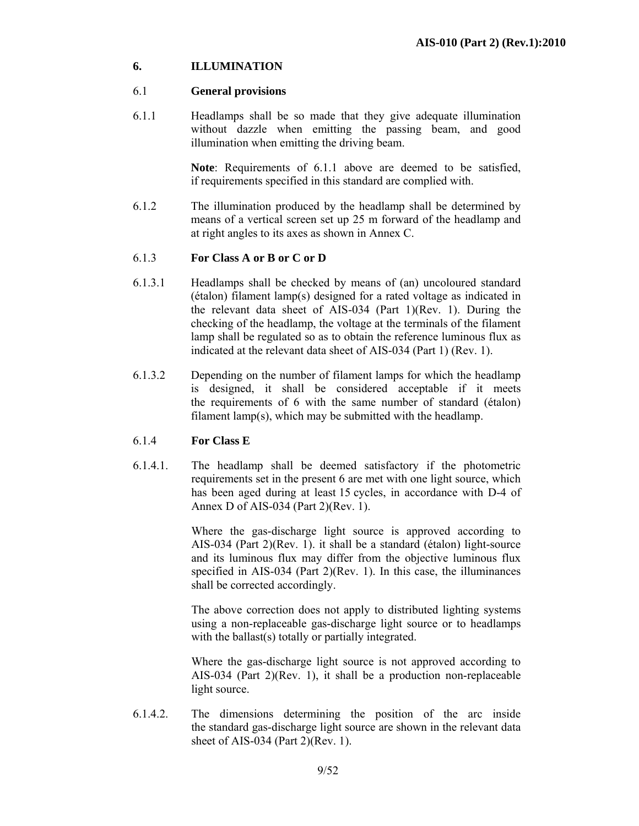## **6. ILLUMINATION**

#### 6.1 **General provisions**

6.1.1 Headlamps shall be so made that they give adequate illumination without dazzle when emitting the passing beam, and good illumination when emitting the driving beam.

> **Note**: Requirements of 6.1.1 above are deemed to be satisfied, if requirements specified in this standard are complied with.

6.1.2 The illumination produced by the headlamp shall be determined by means of a vertical screen set up 25 m forward of the headlamp and at right angles to its axes as shown in Annex C.

## 6.1.3 **For Class A or B or C or D**

- 6.1.3.1 Headlamps shall be checked by means of (an) uncoloured standard (étalon) filament lamp(s) designed for a rated voltage as indicated in the relevant data sheet of AIS-034 (Part 1)(Rev. 1). During the checking of the headlamp, the voltage at the terminals of the filament lamp shall be regulated so as to obtain the reference luminous flux as indicated at the relevant data sheet of AIS-034 (Part 1) (Rev. 1).
- 6.1.3.2 Depending on the number of filament lamps for which the headlamp is designed, it shall be considered acceptable if it meets the requirements of 6 with the same number of standard (étalon) filament lamp(s), which may be submitted with the headlamp.

#### 6.1.4 **For Class E**

6.1.4.1. The headlamp shall be deemed satisfactory if the photometric requirements set in the present 6 are met with one light source, which has been aged during at least 15 cycles, in accordance with D-4 of Annex D of AIS-034 (Part 2)(Rev. 1).

> Where the gas-discharge light source is approved according to AIS-034 (Part 2)(Rev. 1). it shall be a standard (étalon) light-source and its luminous flux may differ from the objective luminous flux specified in AIS-034 (Part 2)(Rev. 1). In this case, the illuminances shall be corrected accordingly.

> The above correction does not apply to distributed lighting systems using a non-replaceable gas-discharge light source or to headlamps with the ballast(s) totally or partially integrated.

> Where the gas-discharge light source is not approved according to AIS-034 (Part 2)(Rev. 1), it shall be a production non-replaceable light source.

6.1.4.2. The dimensions determining the position of the arc inside the standard gas-discharge light source are shown in the relevant data sheet of AIS-034 (Part 2)(Rev. 1).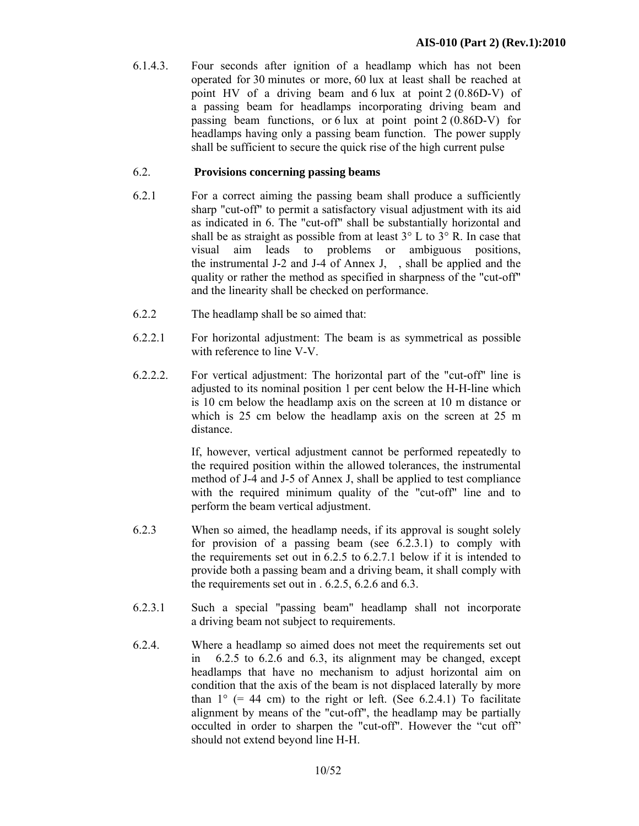6.1.4.3. Four seconds after ignition of a headlamp which has not been operated for 30 minutes or more, 60 lux at least shall be reached at point HV of a driving beam and 6 lux at point 2 (0.86D-V) of a passing beam for headlamps incorporating driving beam and passing beam functions, or 6 lux at point point 2 (0.86D-V) for headlamps having only a passing beam function. The power supply shall be sufficient to secure the quick rise of the high current pulse

## 6.2. **Provisions concerning passing beams**

- 6.2.1 For a correct aiming the passing beam shall produce a sufficiently sharp "cut-off" to permit a satisfactory visual adjustment with its aid as indicated in 6. The "cut-off" shall be substantially horizontal and shall be as straight as possible from at least  $3^{\circ}$  L to  $3^{\circ}$  R. In case that visual aim leads to problems or ambiguous positions, the instrumental J-2 and J-4 of Annex J, , shall be applied and the quality or rather the method as specified in sharpness of the "cut-off" and the linearity shall be checked on performance.
- 6.2.2 The headlamp shall be so aimed that:
- 6.2.2.1 For horizontal adjustment: The beam is as symmetrical as possible with reference to line V-V.
- 6.2.2.2. For vertical adjustment: The horizontal part of the "cut-off" line is adjusted to its nominal position 1 per cent below the H-H-line which is 10 cm below the headlamp axis on the screen at 10 m distance or which is 25 cm below the headlamp axis on the screen at 25 m distance.

 If, however, vertical adjustment cannot be performed repeatedly to the required position within the allowed tolerances, the instrumental method of J-4 and J-5 of Annex J, shall be applied to test compliance with the required minimum quality of the "cut-off" line and to perform the beam vertical adjustment.

- 6.2.3 When so aimed, the headlamp needs, if its approval is sought solely for provision of a passing beam (see 6.2.3.1) to comply with the requirements set out in 6.2.5 to 6.2.7.1 below if it is intended to provide both a passing beam and a driving beam, it shall comply with the requirements set out in . 6.2.5, 6.2.6 and 6.3.
- 6.2.3.1 Such a special "passing beam" headlamp shall not incorporate a driving beam not subject to requirements.
- 6.2.4. Where a headlamp so aimed does not meet the requirements set out in 6.2.5 to 6.2.6 and 6.3, its alignment may be changed, except headlamps that have no mechanism to adjust horizontal aim on condition that the axis of the beam is not displaced laterally by more than  $1^\circ$  (= 44 cm) to the right or left. (See 6.2.4.1) To facilitate alignment by means of the "cut-off", the headlamp may be partially occulted in order to sharpen the "cut-off". However the "cut off" should not extend beyond line H-H.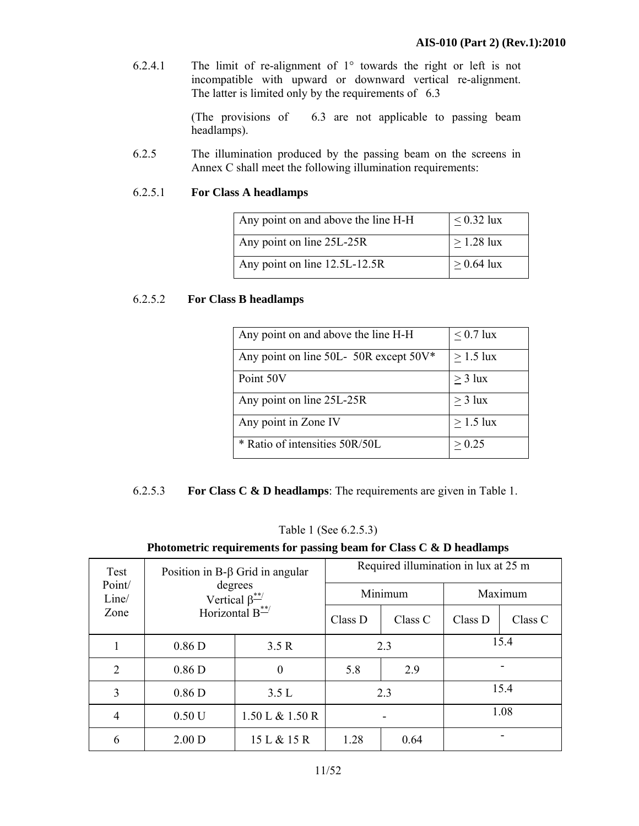6.2.4.1 The limit of re-alignment of 1° towards the right or left is not incompatible with upward or downward vertical re-alignment. The latter is limited only by the requirements of 6.3

> (The provisions of 6.3 are not applicable to passing beam headlamps).

6.2.5 The illumination produced by the passing beam on the screens in Annex C shall meet the following illumination requirements:

#### 6.2.5.1 **For Class A headlamps**

| Any point on and above the line H-H | $< 0.32$ lux |
|-------------------------------------|--------------|
| Any point on line 25L-25R           | $>1.28$ lux  |
| Any point on line 12.5L-12.5R       | $> 0.64$ lux |

## 6.2.5.2 **For Class B headlamps**

| Any point on and above the line H-H   | $< 0.7$ lux    |
|---------------------------------------|----------------|
| Any point on line 50L-50R except 50V* | $\geq$ 1.5 lux |
| Point 50V                             | $>$ 3 lux      |
| Any point on line 25L-25R             | $>$ 3 lux      |
| Any point in Zone IV                  | $> 1.5$ lux    |
| * Ratio of intensities 50R/50L        | > 0.25         |

6.2.5.3 **For Class C & D headlamps**: The requirements are given in Table 1.

| Photometric requirements for passing beam for Class C & D headlamps |  |  |  |  |  |  |
|---------------------------------------------------------------------|--|--|--|--|--|--|
|---------------------------------------------------------------------|--|--|--|--|--|--|

| Test            | Position in B- $\beta$ Grid in angular<br>degrees<br>Vertical $\beta^*$ |                            | Required illumination in lux at 25 m |         |         |         |
|-----------------|-------------------------------------------------------------------------|----------------------------|--------------------------------------|---------|---------|---------|
| Point/<br>Line/ |                                                                         |                            | Minimum                              |         | Maximum |         |
| Zone            |                                                                         | Horizontal $B^{\ast\ast/}$ | Class D                              | Class C | Class D | Class C |
|                 | 0.86 <sub>D</sub>                                                       | 3.5 R                      |                                      | 2.3     | 15.4    |         |
| $\overline{2}$  | 0.86 <sub>D</sub>                                                       | $\boldsymbol{0}$           | 5.8                                  | 2.9     |         |         |
| 3               | 0.86 <sub>D</sub>                                                       | 3.5L                       | 2.3                                  |         | 15.4    |         |
| $\overline{4}$  | 0.50U                                                                   | 1.50 L & 1.50 R            |                                      |         | 1.08    |         |
| 6               | 2.00 D                                                                  | 15 L & 15 R                | 1.28                                 | 0.64    |         |         |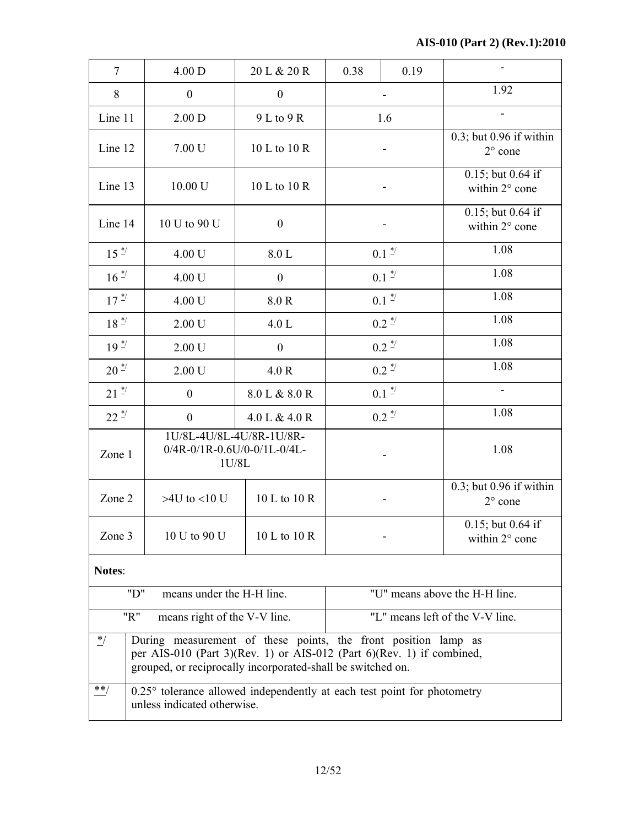| $\overline{7}$                                                                                                            | 4.00 D                                                                                                                                                                                                 | 20 L & 20 R      | 0.38 | 0.19                |                                                  |
|---------------------------------------------------------------------------------------------------------------------------|--------------------------------------------------------------------------------------------------------------------------------------------------------------------------------------------------------|------------------|------|---------------------|--------------------------------------------------|
| 8                                                                                                                         | $\boldsymbol{0}$                                                                                                                                                                                       | $\boldsymbol{0}$ |      |                     | 1.92                                             |
| Line 11                                                                                                                   | $2.00\ \mathrm{D}$                                                                                                                                                                                     | 9 L to 9 R       | 1.6  |                     |                                                  |
| Line 12                                                                                                                   | 7.00 U                                                                                                                                                                                                 | 10 L to 10 R     |      |                     | $0.3$ ; but $0.96$ if within<br>$2^{\circ}$ cone |
| Line 13                                                                                                                   | 10.00 U                                                                                                                                                                                                | 10 L to 10 R     |      |                     | 0.15; but 0.64 if<br>within 2° cone              |
| Line 14                                                                                                                   | 10 U to 90 U                                                                                                                                                                                           | $\boldsymbol{0}$ |      |                     | $0.15$ ; but $0.64$ if<br>within 2° cone         |
| $15 \frac{*}{-}$                                                                                                          | 4.00 U                                                                                                                                                                                                 | $8.0 L$          |      | $0.1 \frac{N}{2}$   | 1.08                                             |
| $16 \frac{*}{-}$                                                                                                          | 4.00 U                                                                                                                                                                                                 | $\boldsymbol{0}$ |      | $0.1$ $\frac{4}{1}$ | 1.08                                             |
| $17 -$                                                                                                                    | 4.00 U                                                                                                                                                                                                 | 8.0 R            |      | $0.1 \frac{*}{-}$   | 1.08                                             |
| $18 - 7$                                                                                                                  | 2.00 U                                                                                                                                                                                                 | 4.0 L            |      | $0.2 \frac{4}{3}$   | 1.08                                             |
| $19 \frac{*}{ }$                                                                                                          | 2.00 U                                                                                                                                                                                                 | $\boldsymbol{0}$ |      | $0.2 \frac{4}{3}$   | 1.08                                             |
| $20^{\frac{*}{-}}$                                                                                                        | 2.00 U                                                                                                                                                                                                 | 4.0 R            |      | $0.2 \frac{*}{-}$   | 1.08                                             |
| $21 \frac{*}{-}$                                                                                                          | $\boldsymbol{0}$                                                                                                                                                                                       | 8.0 L & 8.0 R    |      | $0.1 \frac{*}{-}$   |                                                  |
| $22 \frac{*}{ }$                                                                                                          | $\boldsymbol{0}$                                                                                                                                                                                       | 4.0 L & 4.0 R    |      | $0.2 \frac{4}{3}$   | 1.08                                             |
| 1U/8L-4U/8L-4U/8R-1U/8R-<br>0/4R-0/1R-0.6U/0-0/1L-0/4L-<br>Zone 1<br>1U/8L                                                |                                                                                                                                                                                                        |                  |      |                     | 1.08                                             |
| Zone 2                                                                                                                    | $>4U$ to <10 U                                                                                                                                                                                         | 10 L to 10 R     |      |                     | 0.3; but 0.96 if within<br>$2^{\circ}$ cone      |
| Zone 3                                                                                                                    | 10 U to 90 U<br>10 L to 10 R                                                                                                                                                                           |                  |      |                     | 0.15; but 0.64 if<br>within $2^{\circ}$ cone     |
| Notes:                                                                                                                    |                                                                                                                                                                                                        |                  |      |                     |                                                  |
|                                                                                                                           | "U" means above the H-H line.<br>"D"<br>means under the H-H line.                                                                                                                                      |                  |      |                     |                                                  |
| "R"                                                                                                                       | means right of the V-V line.                                                                                                                                                                           |                  |      |                     | "L" means left of the V-V line.                  |
| $^*/$                                                                                                                     | During measurement of these points, the front position lamp as<br>per AIS-010 (Part 3)(Rev. 1) or AIS-012 (Part 6)(Rev. 1) if combined,<br>grouped, or reciprocally incorporated-shall be switched on. |                  |      |                     |                                                  |
| $***/$<br>$0.25^{\circ}$ tolerance allowed independently at each test point for photometry<br>unless indicated otherwise. |                                                                                                                                                                                                        |                  |      |                     |                                                  |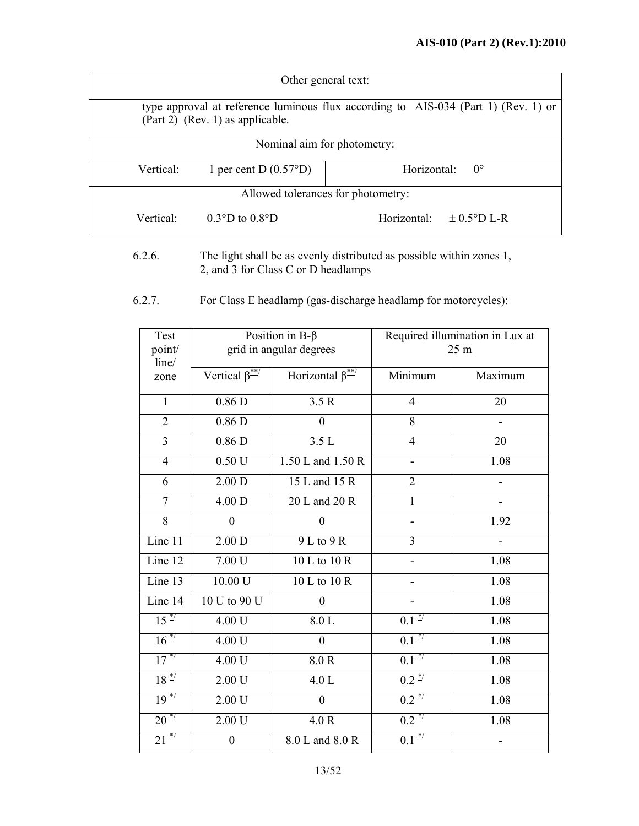|                                                                                                                        | Other general text:                |                                |  |  |  |
|------------------------------------------------------------------------------------------------------------------------|------------------------------------|--------------------------------|--|--|--|
| type approval at reference luminous flux according to AIS-034 (Part 1) (Rev. 1) or<br>(Part 2) (Rev. 1) as applicable. |                                    |                                |  |  |  |
|                                                                                                                        | Nominal aim for photometry:        |                                |  |  |  |
| Vertical:                                                                                                              | 1 per cent D $(0.57^{\circ}D)$     | $0^{\circ}$<br>Horizontal:     |  |  |  |
|                                                                                                                        | Allowed tolerances for photometry: |                                |  |  |  |
| Vertical:                                                                                                              | $0.3^{\circ}D$ to $0.8^{\circ}D$   | $\pm$ 0.5°D L-R<br>Horizontal: |  |  |  |

- 6.2.6. The light shall be as evenly distributed as possible within zones 1, 2, and 3 for Class C or D headlamps
- 6.2.7. For Class E headlamp (gas-discharge headlamp for motorcycles):

| Test<br>point/<br>line/ |                                   | Position in $B-\beta$<br>grid in angular degrees |                    | Required illumination in Lux at<br>25 <sub>m</sub> |  |
|-------------------------|-----------------------------------|--------------------------------------------------|--------------------|----------------------------------------------------|--|
| zone                    | Vertical $\overline{\beta^{**/}}$ | Horizontal $\overline{\beta^{**}}$               | Minimum            | Maximum                                            |  |
| $\mathbf{1}$            | 0.86 <sub>D</sub>                 | 3.5 R                                            | $\overline{4}$     | 20                                                 |  |
| $\overline{2}$          | 0.86 <sub>D</sub>                 | $\overline{0}$                                   | 8                  |                                                    |  |
| $\overline{3}$          | $0.86$ D                          | 3.5L                                             | $\overline{4}$     | 20                                                 |  |
| $\overline{4}$          | 0.50U                             | 1.50 L and 1.50 R                                |                    | 1.08                                               |  |
| 6                       | 2.00 <sub>D</sub>                 | 15 L and 15 R                                    | $\overline{2}$     |                                                    |  |
| $\overline{7}$          | 4.00 D                            | 20 L and 20 R                                    | $\mathbf{1}$       |                                                    |  |
| 8                       | $\boldsymbol{0}$                  | $\boldsymbol{0}$                                 |                    | 1.92                                               |  |
| Line 11                 | $2.00$ D                          | 9 L to 9 R                                       | 3                  |                                                    |  |
| Line 12                 | 7.00U                             | 10 L to 10 R                                     |                    | 1.08                                               |  |
| Line 13                 | 10.00 U                           | 10 L to 10 R                                     |                    | 1.08                                               |  |
| Line 14                 | 10 U to 90 U                      | $\overline{0}$                                   |                    | 1.08                                               |  |
| $15 \frac{*}{-}$        | 4.00 U                            | $8.0\ {\rm L}$                                   | $0.1 \frac{N}{2}$  | 1.08                                               |  |
| $16 \frac{*}{-}$        | 4.00 U                            | $\overline{0}$                                   | $0.1 \frac{N}{2}$  | 1.08                                               |  |
| $17 -$                  | 4.00 U                            | 8.0 R                                            | $0.1 \frac{*}{-}$  | 1.08                                               |  |
| $18 -$                  | 2.00 U                            | 4.0 L                                            | $0.2 \frac{N}{2}$  | 1.08                                               |  |
| $19 -$                  | 2.00 U                            | $\theta$                                         | $0.2 \frac{N}{2}$  | 1.08                                               |  |
| $20^{2}$                | $2.00\;\mathrm{U}$                | 4.0 R                                            | $0.2 \frac{N}{2}$  | 1.08                                               |  |
| $21^{\frac{2}{}}$       | $\boldsymbol{0}$                  | 8.0 L and 8.0 R                                  | $\overline{0.1}^*$ |                                                    |  |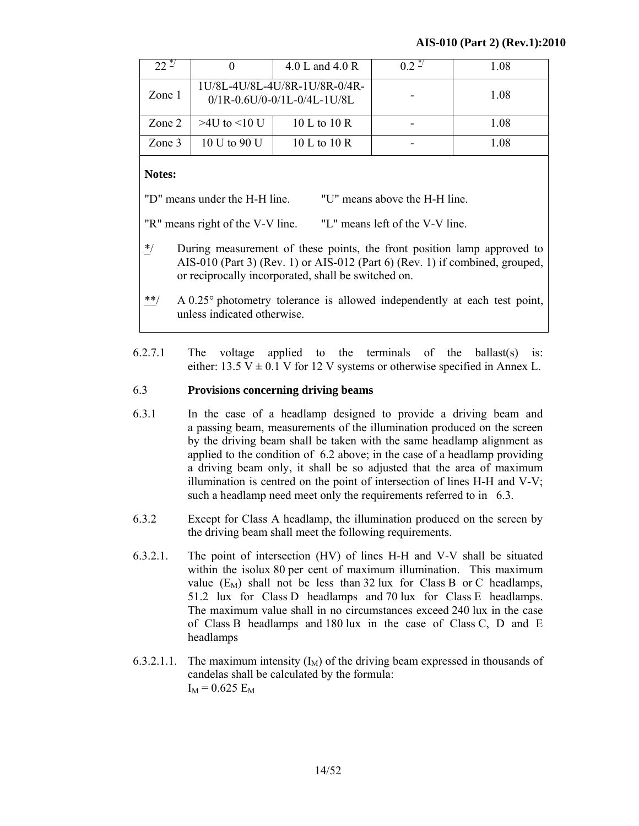| $22 \frac{*}{-}$                                                                                                                                                                                                          | $\Omega$                                                                                                 | 4.0 L and 4.0 R                                                        | $0.2 \frac{N}{2}$             | 1.08 |  |  |  |
|---------------------------------------------------------------------------------------------------------------------------------------------------------------------------------------------------------------------------|----------------------------------------------------------------------------------------------------------|------------------------------------------------------------------------|-------------------------------|------|--|--|--|
| Zone 1                                                                                                                                                                                                                    |                                                                                                          | 1U/8L-4U/8L-4U/8R-1U/8R-0/4R-<br>$0/1R - 0.6U/0 - 0/1L - 0/4L - 1U/8L$ |                               | 1.08 |  |  |  |
| Zone 2                                                                                                                                                                                                                    | $>4U$ to $<10$ U                                                                                         | 10 L to 10 R                                                           |                               | 1.08 |  |  |  |
| Zone 3                                                                                                                                                                                                                    | 10 U to 90 U                                                                                             | 10 L to 10 R                                                           |                               | 1.08 |  |  |  |
| Notes:                                                                                                                                                                                                                    |                                                                                                          |                                                                        |                               |      |  |  |  |
|                                                                                                                                                                                                                           | "D" means under the H-H line.                                                                            |                                                                        | "U" means above the H-H line. |      |  |  |  |
| "L" means left of the V-V line.<br>"R" means right of the V-V line.                                                                                                                                                       |                                                                                                          |                                                                        |                               |      |  |  |  |
| $\ast/$<br>During measurement of these points, the front position lamp approved to<br>AIS-010 (Part 3) (Rev. 1) or AIS-012 (Part 6) (Rev. 1) if combined, grouped,<br>or reciprocally incorporated, shall be switched on. |                                                                                                          |                                                                        |                               |      |  |  |  |
| $***/$                                                                                                                                                                                                                    | A 0.25° photometry tolerance is allowed independently at each test point,<br>unless indicated otherwise. |                                                                        |                               |      |  |  |  |

6.2.7.1 The voltage applied to the terminals of the ballast(s) is: either: 13.5 V  $\pm$  0.1 V for 12 V systems or otherwise specified in Annex L.

## 6.3 **Provisions concerning driving beams**

- 6.3.1 In the case of a headlamp designed to provide a driving beam and a passing beam, measurements of the illumination produced on the screen by the driving beam shall be taken with the same headlamp alignment as applied to the condition of 6.2 above; in the case of a headlamp providing a driving beam only, it shall be so adjusted that the area of maximum illumination is centred on the point of intersection of lines H-H and V-V; such a headlamp need meet only the requirements referred to in 6.3.
- 6.3.2 Except for Class A headlamp, the illumination produced on the screen by the driving beam shall meet the following requirements.
- 6.3.2.1. The point of intersection (HV) of lines H-H and V-V shall be situated within the isolux 80 per cent of maximum illumination. This maximum value  $(E_M)$  shall not be less than 32 lux for Class B or C headlamps, 51.2 lux for Class D headlamps and 70 lux for Class E headlamps. The maximum value shall in no circumstances exceed 240 lux in the case of Class B headlamps and 180 lux in the case of Class C, D and E headlamps
- 6.3.2.1.1. The maximum intensity  $(I_M)$  of the driving beam expressed in thousands of candelas shall be calculated by the formula:  $I_M = 0.625 E_M$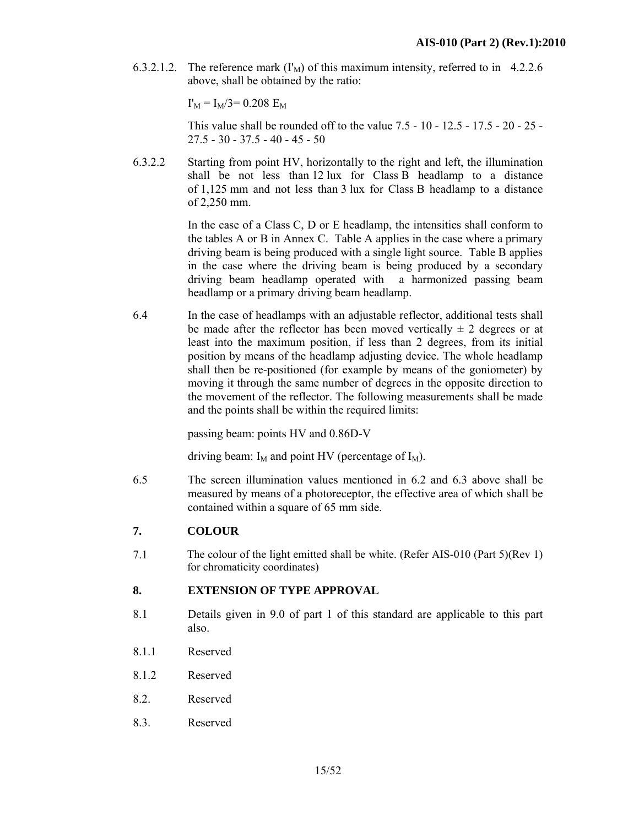6.3.2.1.2. The reference mark  $(I_M)$  of this maximum intensity, referred to in 4.2.2.6 above, shall be obtained by the ratio:

 $I'_M = I_M/3 = 0.208$  E<sub>M</sub>

This value shall be rounded off to the value 7.5 - 10 - 12.5 - 17.5 - 20 - 25 - 27.5 - 30 - 37.5 - 40 - 45 - 50

6.3.2.2 Starting from point HV, horizontally to the right and left, the illumination shall be not less than 12 lux for Class B headlamp to a distance of 1,125 mm and not less than 3 lux for Class B headlamp to a distance of 2,250 mm.

> In the case of a Class C, D or E headlamp, the intensities shall conform to the tables A or B in Annex C. Table A applies in the case where a primary driving beam is being produced with a single light source. Table B applies in the case where the driving beam is being produced by a secondary driving beam headlamp operated with a harmonized passing beam headlamp or a primary driving beam headlamp.

6.4 In the case of headlamps with an adjustable reflector, additional tests shall be made after the reflector has been moved vertically  $\pm$  2 degrees or at least into the maximum position, if less than 2 degrees, from its initial position by means of the headlamp adjusting device. The whole headlamp shall then be re-positioned (for example by means of the goniometer) by moving it through the same number of degrees in the opposite direction to the movement of the reflector. The following measurements shall be made and the points shall be within the required limits:

passing beam: points HV and 0.86D-V

driving beam:  $I_M$  and point HV (percentage of  $I_M$ ).

6.5 The screen illumination values mentioned in 6.2 and 6.3 above shall be measured by means of a photoreceptor, the effective area of which shall be contained within a square of 65 mm side.

## **7. COLOUR**

7.1 The colour of the light emitted shall be white. (Refer AIS-010 (Part 5)(Rev 1) for chromaticity coordinates)

## **8. EXTENSION OF TYPE APPROVAL**

- 8.1 Details given in 9.0 of part 1 of this standard are applicable to this part also.
- 8.1.1 Reserved
- 8.1.2 Reserved
- 8.2. Reserved
- 8.3. Reserved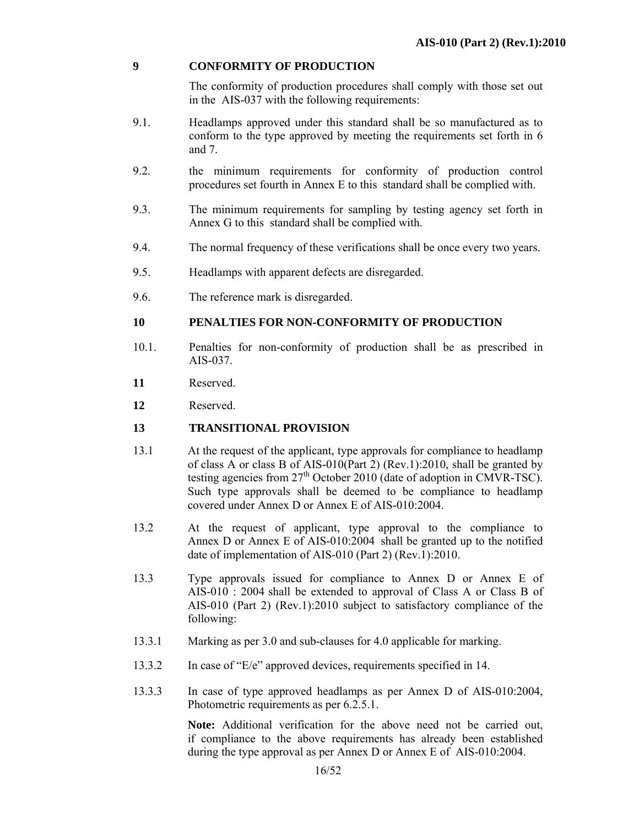## **9 CONFORMITY OF PRODUCTION**

The conformity of production procedures shall comply with those set out in the AIS-037 with the following requirements:

- 9.1. Headlamps approved under this standard shall be so manufactured as to conform to the type approved by meeting the requirements set forth in 6 and 7.
- 9.2. the minimum requirements for conformity of production control procedures set fourth in Annex E to this standard shall be complied with.
- 9.3. The minimum requirements for sampling by testing agency set forth in Annex G to this standard shall be complied with.
- 9.4. The normal frequency of these verifications shall be once every two years.
- 9.5. Headlamps with apparent defects are disregarded.
- 9.6. The reference mark is disregarded.

## **10 PENALTIES FOR NON-CONFORMITY OF PRODUCTION**

- 10.1. Penalties for non-conformity of production shall be as prescribed in AIS-037.
- **11** Reserved.
- **12** Reserved.

#### **13 TRANSITIONAL PROVISION**

- 13.1 At the request of the applicant, type approvals for compliance to headlamp of class A or class B of AIS-010(Part 2) (Rev.1):2010, shall be granted by testing agencies from  $27<sup>th</sup>$  October 2010 (date of adoption in CMVR-TSC). Such type approvals shall be deemed to be compliance to headlamp covered under Annex D or Annex E of AIS-010:2004.
- 13.2 At the request of applicant, type approval to the compliance to Annex D or Annex E of AIS-010:2004 shall be granted up to the notified date of implementation of AIS-010 (Part 2) (Rev.1):2010.
- 13.3 Type approvals issued for compliance to Annex D or Annex E of AIS-010 : 2004 shall be extended to approval of Class A or Class B of AIS-010 (Part 2) (Rev.1):2010 subject to satisfactory compliance of the following:
- 13.3.1 Marking as per 3.0 and sub-clauses for 4.0 applicable for marking.
- 13.3.2 In case of "E/e" approved devices, requirements specified in 14.
- 13.3.3 In case of type approved headlamps as per Annex D of AIS-010:2004, Photometric requirements as per 6.2.5.1.

**Note:** Additional verification for the above need not be carried out, if compliance to the above requirements has already been established during the type approval as per Annex D or Annex E of AIS-010:2004.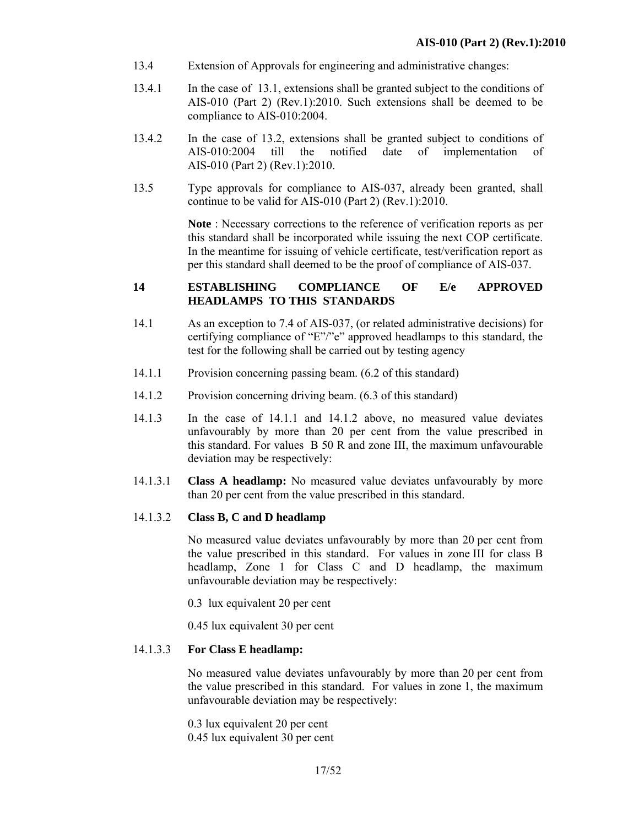- 13.4 Extension of Approvals for engineering and administrative changes:
- 13.4.1 In the case of 13.1, extensions shall be granted subject to the conditions of AIS-010 (Part 2) (Rev.1):2010. Such extensions shall be deemed to be compliance to AIS-010:2004.
- 13.4.2 In the case of 13.2, extensions shall be granted subject to conditions of AIS-010:2004 till the notified date of implementation of AIS-010 (Part 2) (Rev.1):2010.
- 13.5 Type approvals for compliance to AIS-037, already been granted, shall continue to be valid for AIS-010 (Part 2) (Rev.1):2010.

**Note** : Necessary corrections to the reference of verification reports as per this standard shall be incorporated while issuing the next COP certificate. In the meantime for issuing of vehicle certificate, test/verification report as per this standard shall deemed to be the proof of compliance of AIS-037.

#### **14 ESTABLISHING COMPLIANCE OF E/e APPROVED HEADLAMPS TO THIS STANDARDS**

- 14.1 As an exception to 7.4 of AIS-037, (or related administrative decisions) for certifying compliance of "E"/"e" approved headlamps to this standard, the test for the following shall be carried out by testing agency
- 14.1.1 Provision concerning passing beam. (6.2 of this standard)
- 14.1.2 Provision concerning driving beam. (6.3 of this standard)
- 14.1.3 In the case of 14.1.1 and 14.1.2 above, no measured value deviates unfavourably by more than 20 per cent from the value prescribed in this standard. For values B 50 R and zone III, the maximum unfavourable deviation may be respectively:
- 14.1.3.1 **Class A headlamp:** No measured value deviates unfavourably by more than 20 per cent from the value prescribed in this standard.

#### 14.1.3.2 **Class B, C and D headlamp**

 No measured value deviates unfavourably by more than 20 per cent from the value prescribed in this standard. For values in zone III for class B headlamp, Zone 1 for Class C and D headlamp, the maximum unfavourable deviation may be respectively:

0.3 lux equivalent 20 per cent

0.45 lux equivalent 30 per cent

#### 14.1.3.3 **For Class E headlamp:**

 No measured value deviates unfavourably by more than 20 per cent from the value prescribed in this standard. For values in zone 1, the maximum unfavourable deviation may be respectively:

- 0.3 lux equivalent 20 per cent
- 0.45 lux equivalent 30 per cent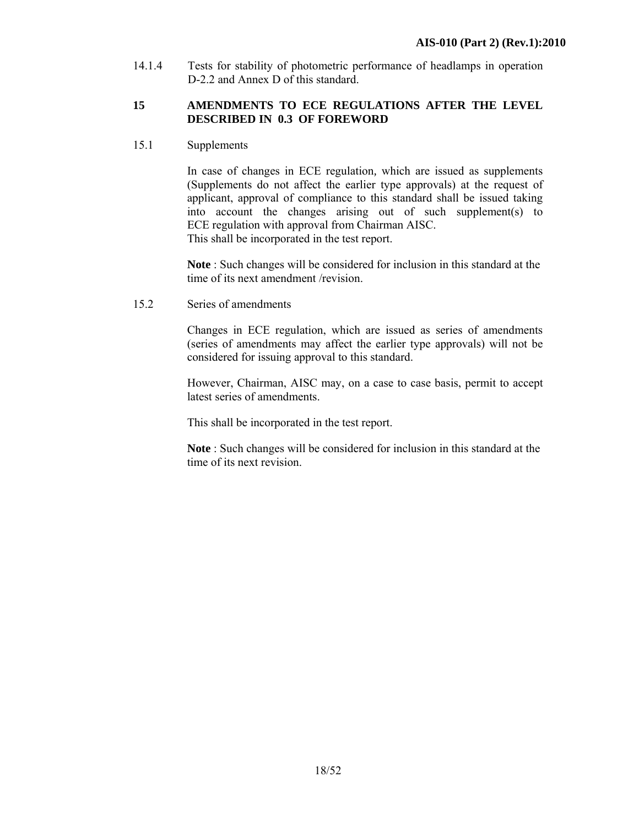14.1.4 Tests for stability of photometric performance of headlamps in operation D-2.2 and Annex D of this standard.

#### **15 AMENDMENTS TO ECE REGULATIONS AFTER THE LEVEL DESCRIBED IN 0.3 OF FOREWORD**

15.1 Supplements

 In case of changes in ECE regulation*,* which are issued as supplements (Supplements do not affect the earlier type approvals) at the request of applicant, approval of compliance to this standard shall be issued taking into account the changes arising out of such supplement(s) to ECE regulation with approval from Chairman AISC. This shall be incorporated in the test report.

**Note** : Such changes will be considered for inclusion in this standard at the time of its next amendment /revision.

15.2 Series of amendments

 Changes in ECE regulation, which are issued as series of amendments (series of amendments may affect the earlier type approvals) will not be considered for issuing approval to this standard.

However, Chairman, AISC may, on a case to case basis, permit to accept latest series of amendments.

This shall be incorporated in the test report.

**Note** : Such changes will be considered for inclusion in this standard at the time of its next revision.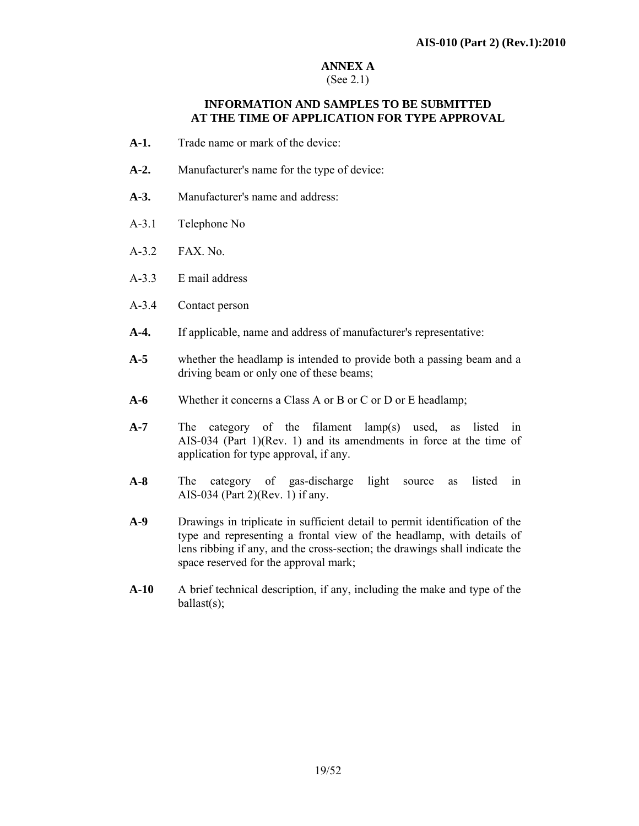# **ANNEX A**

## (See 2.1)

## **INFORMATION AND SAMPLES TO BE SUBMITTED AT THE TIME OF APPLICATION FOR TYPE APPROVAL**

- **A-1.** Trade name or mark of the device:
- **A-2.** Manufacturer's name for the type of device:
- **A-3.** Manufacturer's name and address:
- A-3.1 Telephone No
- $A-3.2$  FAX No.
- A-3.3 E mail address
- A-3.4 Contact person
- **A-4.** If applicable, name and address of manufacturer's representative:
- **A-5** whether the headlamp is intended to provide both a passing beam and a driving beam or only one of these beams;
- **A-6** Whether it concerns a Class A or B or C or D or E headlamp;
- **A-7** The category of the filament lamp(s) used, as listed in AIS-034 (Part 1)(Rev. 1) and its amendments in force at the time of application for type approval, if any.
- **A-8** The category of gas-discharge light source as listed in AIS-034 (Part 2)(Rev. 1) if any.
- **A-9** Drawings in triplicate in sufficient detail to permit identification of the type and representing a frontal view of the headlamp, with details of lens ribbing if any, and the cross-section; the drawings shall indicate the space reserved for the approval mark;
- **A-10** A brief technical description, if any, including the make and type of the  $ballast(s);$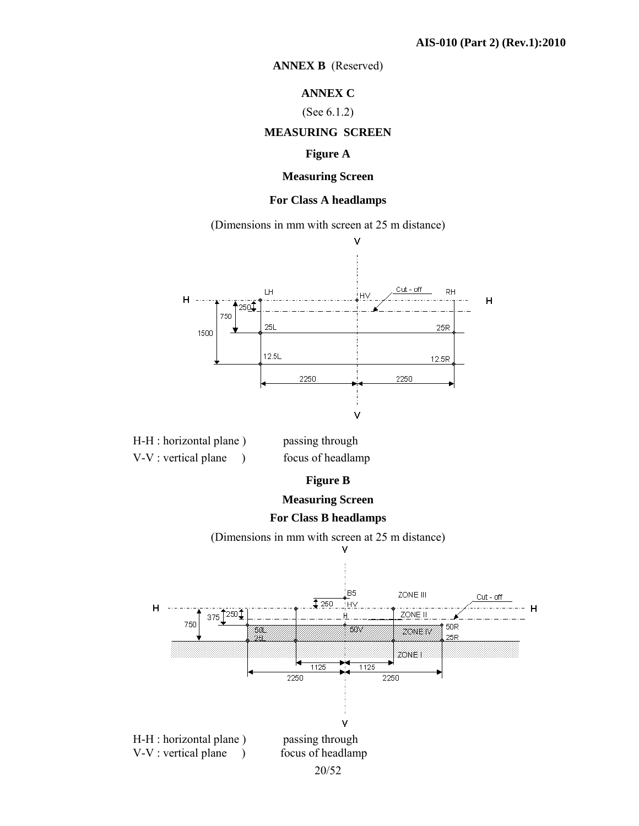#### **ANNEX B** (Reserved)

## **ANNEX C**

#### (See 6.1.2)

#### **MEASURING SCREEN**

#### **Figure A**

#### **Measuring Screen**

#### **For Class A headlamps**

(Dimensions in mm with screen at 25 m distance)



#### **For Class B headlamps**

(Dimensions in mm with screen at 25 m distance)

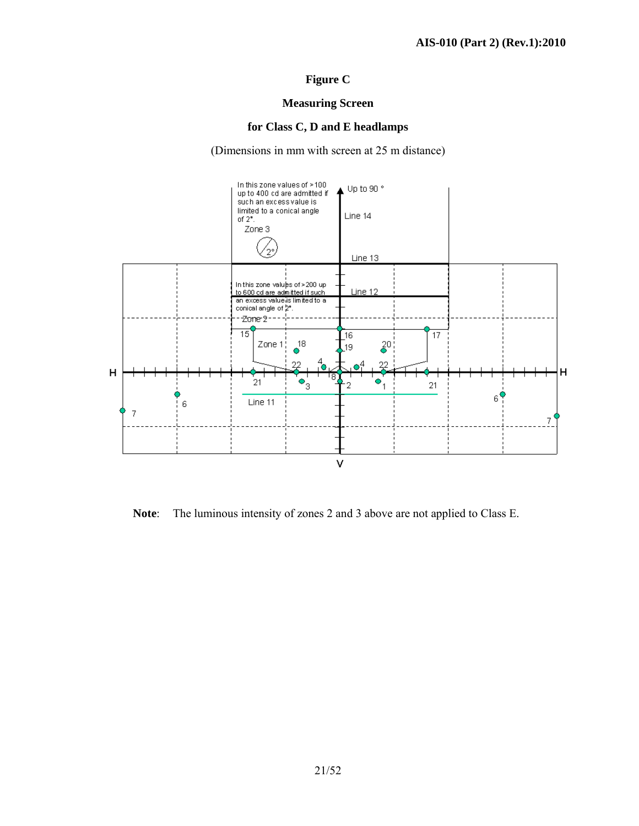# **Figure C**

## **Measuring Screen**

## **for Class C, D and E headlamps**

(Dimensions in mm with screen at 25 m distance)



**Note**: The luminous intensity of zones 2 and 3 above are not applied to Class E.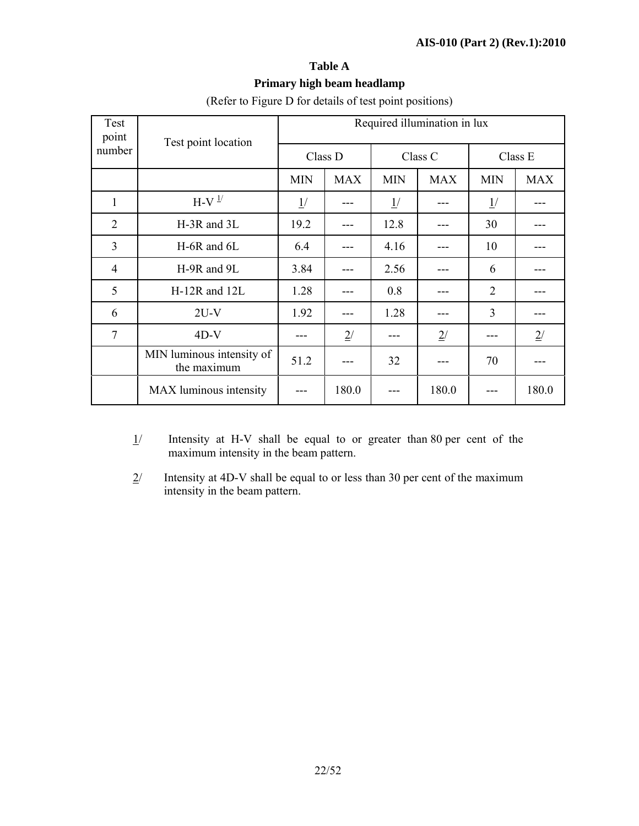# **Table A**

# **Primary high beam headlamp**

| Test<br>point  | Test point location                      |                          |                  |            | Required illumination in lux |                |            |
|----------------|------------------------------------------|--------------------------|------------------|------------|------------------------------|----------------|------------|
| number         |                                          | Class D                  |                  |            | Class C                      |                | Class E    |
|                |                                          | <b>MIN</b><br><b>MAX</b> |                  | <b>MIN</b> | <b>MAX</b>                   |                | <b>MAX</b> |
| 1              | $H-V$ <sup><math>1/</math></sup>         | 1/                       |                  | 1/         |                              | $\frac{1}{2}$  |            |
| $\overline{2}$ | H-3R and 3L                              | 19.2                     |                  | 12.8       |                              | 30             |            |
| 3              | H-6R and 6L                              | 6.4                      |                  | 4.16       |                              | 10             |            |
| $\overline{4}$ | H-9R and 9L                              | 3.84                     |                  | 2.56       |                              | 6              |            |
| 5              | H-12R and 12L                            | 1.28                     |                  | 0.8        |                              | $\overline{2}$ |            |
| 6              | $2U-V$                                   | 1.92                     |                  | 1.28       |                              | 3              |            |
| $\overline{7}$ | $4D-V$                                   |                          | $\overline{2}$ / | ---        | 2/                           |                | 2/         |
|                | MIN luminous intensity of<br>the maximum | 51.2                     |                  | 32         |                              | 70             |            |
|                | MAX luminous intensity                   |                          | 180.0            |            | 180.0                        |                | 180.0      |

(Refer to Figure D for details of test point positions)

- $1/$  Intensity at H-V shall be equal to or greater than 80 per cent of the maximum intensity in the beam pattern.
- $2/$  Intensity at 4D-V shall be equal to or less than 30 per cent of the maximum intensity in the beam pattern.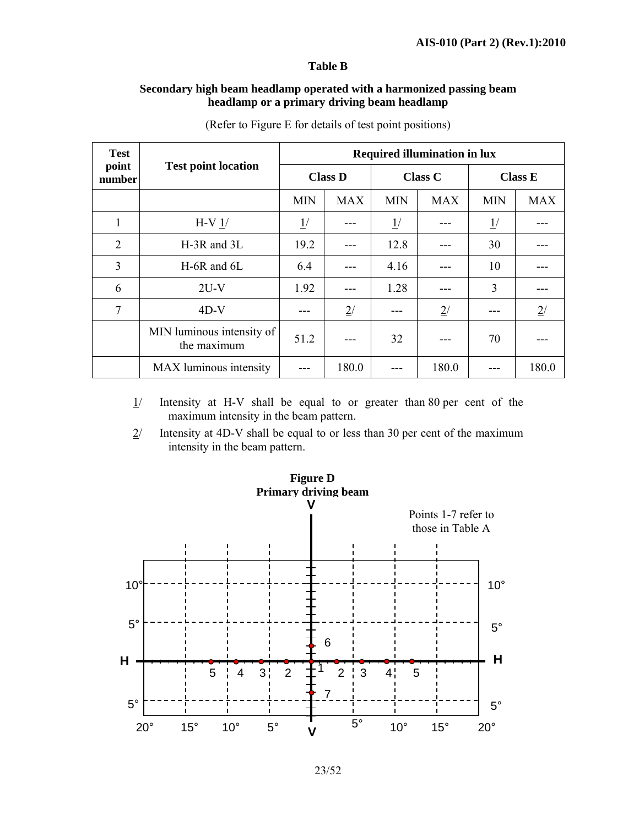## **Table B**

## **Secondary high beam headlamp operated with a harmonized passing beam headlamp or a primary driving beam headlamp**

| <b>Test</b>     |                                          | <b>Required illumination in lux</b> |                  |            |                  |            |                |  |  |
|-----------------|------------------------------------------|-------------------------------------|------------------|------------|------------------|------------|----------------|--|--|
| point<br>number | <b>Test point location</b>               |                                     | <b>Class D</b>   |            | <b>Class C</b>   |            | <b>Class E</b> |  |  |
|                 |                                          | <b>MIN</b>                          | <b>MAX</b>       | <b>MIN</b> | <b>MAX</b>       | <b>MIN</b> | <b>MAX</b>     |  |  |
| 1               | $H-V1/$                                  | $\frac{1}{2}$                       |                  | 1/         |                  | 1/         |                |  |  |
| $\overline{2}$  | H-3R and 3L                              | 19.2                                |                  | 12.8       |                  | 30         |                |  |  |
| 3               | H-6R and 6L                              | 6.4                                 |                  | 4.16       |                  | 10         |                |  |  |
| 6               | $2U-V$                                   | 1.92                                |                  | 1.28       |                  | 3          |                |  |  |
| 7               | $4D-V$                                   |                                     | $\overline{2}$ / | ---        | $\overline{2}$ / |            | $\frac{2}{l}$  |  |  |
|                 | MIN luminous intensity of<br>the maximum | 51.2                                |                  | 32         |                  | 70         |                |  |  |
|                 | MAX luminous intensity                   |                                     | 180.0            |            | 180.0            |            | 180.0          |  |  |

(Refer to Figure E for details of test point positions)

- $1/$  Intensity at H-V shall be equal to or greater than 80 per cent of the maximum intensity in the beam pattern.
- $2$  Intensity at 4D-V shall be equal to or less than 30 per cent of the maximum intensity in the beam pattern.

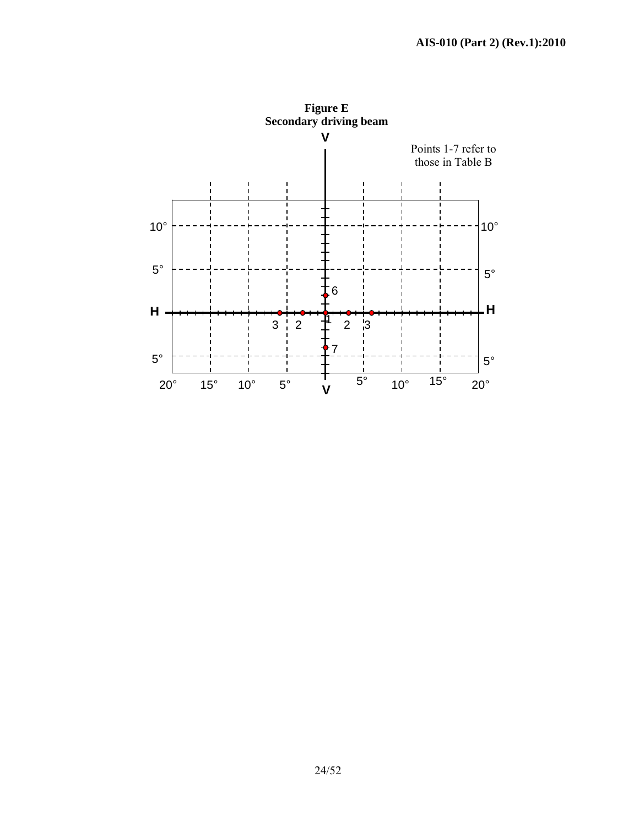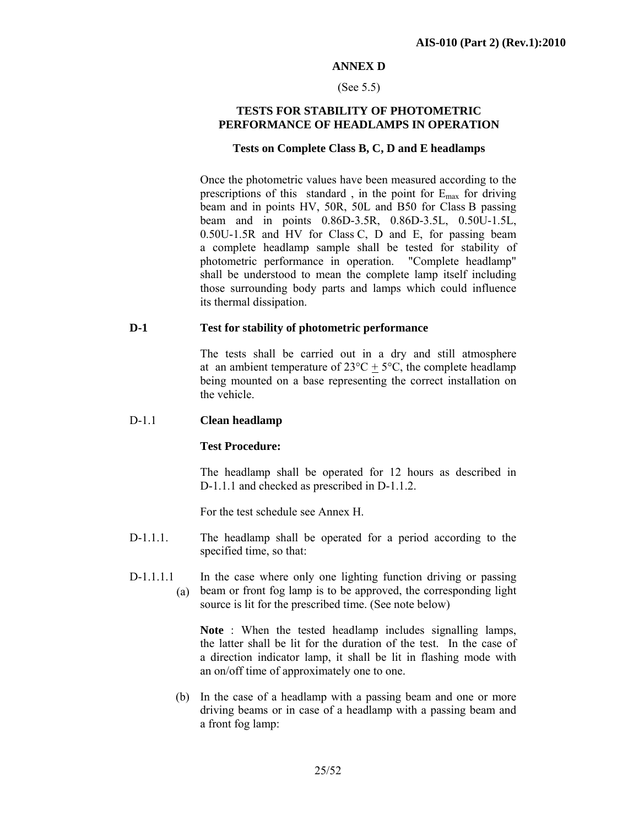#### **ANNEX D**

#### (See 5.5)

#### **TESTS FOR STABILITY OF PHOTOMETRIC PERFORMANCE OF HEADLAMPS IN OPERATION**

#### **Tests on Complete Class B, C, D and E headlamps**

Once the photometric values have been measured according to the prescriptions of this standard, in the point for  $E_{\text{max}}$  for driving beam and in points HV, 50R, 50L and B50 for Class B passing beam and in points 0.86D-3.5R, 0.86D-3.5L, 0.50U-1.5L, 0.50U-1.5R and HV for Class C, D and E, for passing beam a complete headlamp sample shall be tested for stability of photometric performance in operation. "Complete headlamp" shall be understood to mean the complete lamp itself including those surrounding body parts and lamps which could influence its thermal dissipation.

#### **D-1 Test for stability of photometric performance**

The tests shall be carried out in a dry and still atmosphere at an ambient temperature of  $23^{\circ}C + 5^{\circ}C$ , the complete headlamp being mounted on a base representing the correct installation on the vehicle.

#### D-1.1 **Clean headlamp**

#### **Test Procedure:**

The headlamp shall be operated for 12 hours as described in D-1.1.1 and checked as prescribed in D-1.1.2.

For the test schedule see Annex H.

- D-1.1.1. The headlamp shall be operated for a period according to the specified time, so that:
- D-1.1.1.1 (a) beam or front fog lamp is to be approved, the corresponding light In the case where only one lighting function driving or passing source is lit for the prescribed time. (See note below)

**Note** : When the tested headlamp includes signalling lamps, the latter shall be lit for the duration of the test. In the case of a direction indicator lamp, it shall be lit in flashing mode with an on/off time of approximately one to one.

(b) In the case of a headlamp with a passing beam and one or more driving beams or in case of a headlamp with a passing beam and a front fog lamp: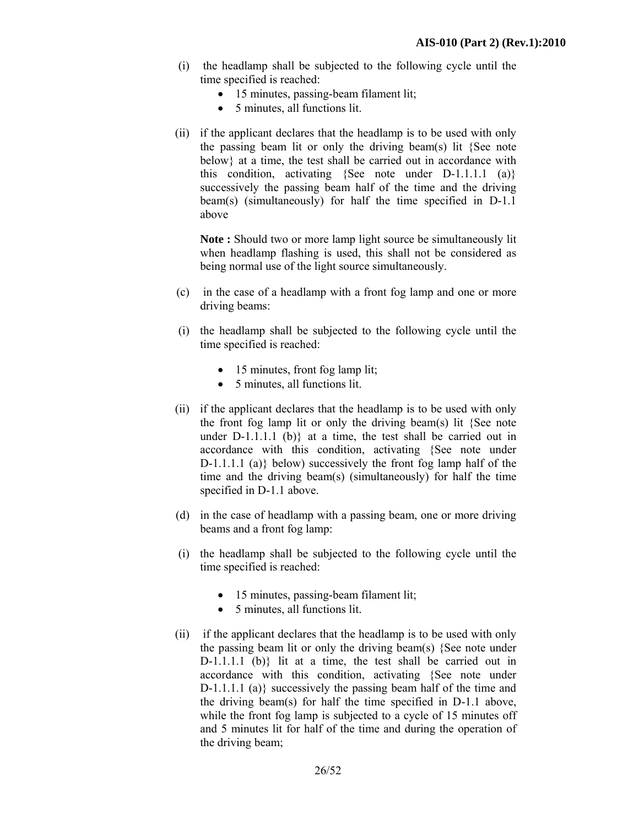- (i) the headlamp shall be subjected to the following cycle until the time specified is reached:
	- 15 minutes, passing-beam filament lit;
	- 5 minutes, all functions lit.
- (ii) if the applicant declares that the headlamp is to be used with only the passing beam lit or only the driving beam(s) lit {See note below} at a time, the test shall be carried out in accordance with this condition, activating {See note under  $D-1.1.1.1$  (a)} successively the passing beam half of the time and the driving beam(s) (simultaneously) for half the time specified in D-1.1 above

**Note :** Should two or more lamp light source be simultaneously lit when headlamp flashing is used, this shall not be considered as being normal use of the light source simultaneously.

- (c) in the case of a headlamp with a front fog lamp and one or more driving beams:
- (i) the headlamp shall be subjected to the following cycle until the time specified is reached:
	- 15 minutes, front fog lamp lit;
	- 5 minutes, all functions lit.
- (ii) if the applicant declares that the headlamp is to be used with only the front fog lamp lit or only the driving beam(s) lit {See note under  $D-1.1.1.1$  (b)} at a time, the test shall be carried out in accordance with this condition, activating {See note under D-1.1.1.1 (a)} below) successively the front fog lamp half of the time and the driving beam(s) (simultaneously) for half the time specified in D-1.1 above.
- (d) in the case of headlamp with a passing beam, one or more driving beams and a front fog lamp:
- (i) the headlamp shall be subjected to the following cycle until the time specified is reached:
	- 15 minutes, passing-beam filament lit;
	- 5 minutes, all functions lit.
- (ii) if the applicant declares that the headlamp is to be used with only the passing beam lit or only the driving beam(s) {See note under D-1.1.1.1 (b)} lit at a time, the test shall be carried out in accordance with this condition, activating {See note under D-1.1.1.1 (a)} successively the passing beam half of the time and the driving beam(s) for half the time specified in D-1.1 above, while the front fog lamp is subjected to a cycle of 15 minutes off and 5 minutes lit for half of the time and during the operation of the driving beam;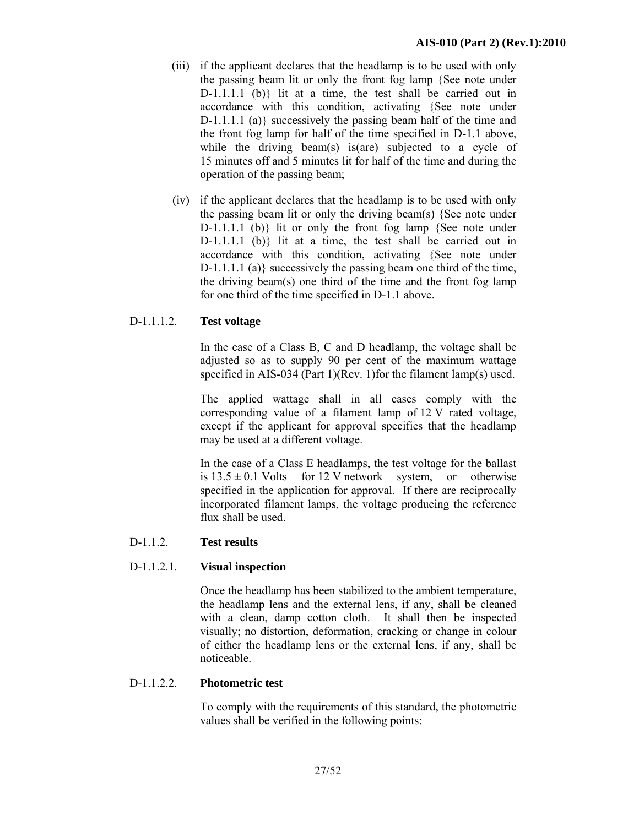- (iii) if the applicant declares that the headlamp is to be used with only the passing beam lit or only the front fog lamp {See note under D-1.1.1.1 (b)} lit at a time, the test shall be carried out in accordance with this condition, activating {See note under D-1.1.1.1 (a)} successively the passing beam half of the time and the front fog lamp for half of the time specified in D-1.1 above, while the driving beam(s) is(are) subjected to a cycle of 15 minutes off and 5 minutes lit for half of the time and during the operation of the passing beam;
- (iv) if the applicant declares that the headlamp is to be used with only the passing beam lit or only the driving beam(s) {See note under D-1.1.1.1 (b)} lit or only the front fog lamp {See note under D-1.1.1.1 (b)} lit at a time, the test shall be carried out in accordance with this condition, activating {See note under D-1.1.1.1 (a)} successively the passing beam one third of the time, the driving beam(s) one third of the time and the front fog lamp for one third of the time specified in D-1.1 above.

## D-1.1.1.2. **Test voltage**

 In the case of a Class B, C and D headlamp, the voltage shall be adjusted so as to supply 90 per cent of the maximum wattage specified in AIS-034 (Part 1)(Rev. 1)for the filament lamp(s) used.

The applied wattage shall in all cases comply with the corresponding value of a filament lamp of 12 V rated voltage, except if the applicant for approval specifies that the headlamp may be used at a different voltage.

In the case of a Class E headlamps, the test voltage for the ballast is  $13.5 \pm 0.1$  Volts for 12 V network system, or otherwise specified in the application for approval. If there are reciprocally incorporated filament lamps, the voltage producing the reference flux shall be used.

## D-1.1.2. **Test results**

#### D-1.1.2.1. **Visual inspection**

 Once the headlamp has been stabilized to the ambient temperature, the headlamp lens and the external lens, if any, shall be cleaned with a clean, damp cotton cloth. It shall then be inspected visually; no distortion, deformation, cracking or change in colour of either the headlamp lens or the external lens, if any, shall be noticeable.

#### D-1.1.2.2. **Photometric test**

 To comply with the requirements of this standard, the photometric values shall be verified in the following points: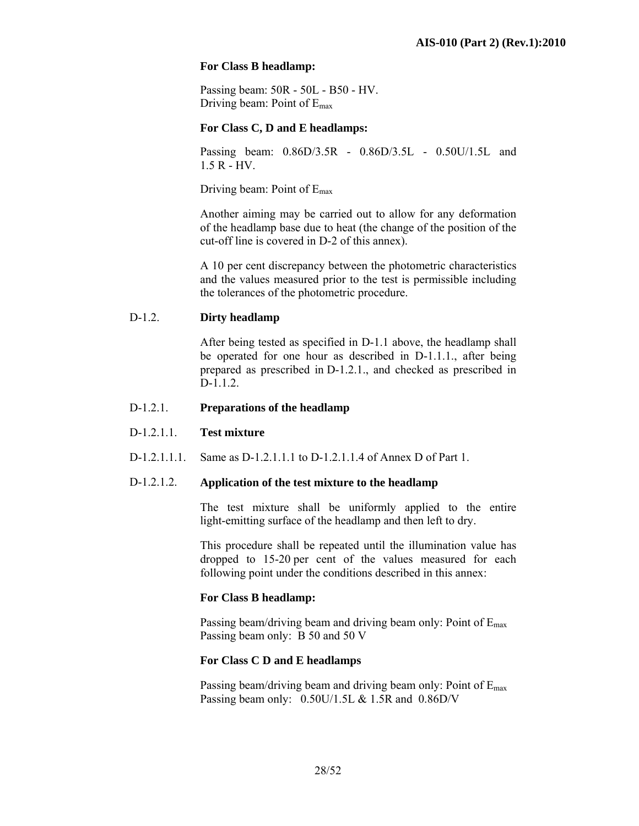## **For Class B headlamp:**

Passing beam: 50R - 50L - B50 - HV. Driving beam: Point of Emax

#### **For Class C, D and E headlamps:**

Passing beam: 0.86D/3.5R - 0.86D/3.5L - 0.50U/1.5L and 1.5 R - HV.

Driving beam: Point of Emax

 Another aiming may be carried out to allow for any deformation of the headlamp base due to heat (the change of the position of the cut-off line is covered in D-2 of this annex).

 A 10 per cent discrepancy between the photometric characteristics and the values measured prior to the test is permissible including the tolerances of the photometric procedure.

## D-1.2. **Dirty headlamp**

 After being tested as specified in D-1.1 above, the headlamp shall be operated for one hour as described in D-1.1.1., after being prepared as prescribed in D-1.2.1., and checked as prescribed in D-1.1.2.

## D-1.2.1. **Preparations of the headlamp**

#### D-1.2.1.1. **Test mixture**

D-1.2.1.1.1. Same as D-1.2.1.1.1 to D-1.2.1.1.4 of Annex D of Part 1.

#### D-1.2.1.2. **Application of the test mixture to the headlamp**

 The test mixture shall be uniformly applied to the entire light-emitting surface of the headlamp and then left to dry.

This procedure shall be repeated until the illumination value has dropped to 15-20 per cent of the values measured for each following point under the conditions described in this annex:

#### **For Class B headlamp:**

Passing beam/driving beam and driving beam only: Point of  $E_{\text{max}}$ Passing beam only: B 50 and 50 V

#### **For Class C D and E headlamps**

Passing beam/driving beam and driving beam only: Point of  $E_{\text{max}}$ Passing beam only:0.50U/1.5L & 1.5R and 0.86D/V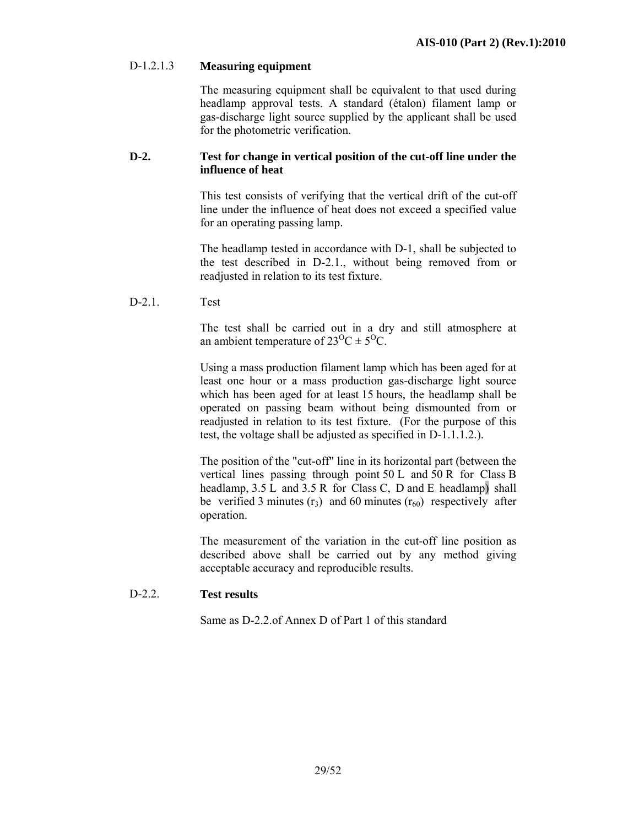## D-1.2.1.3 **Measuring equipment**

 The measuring equipment shall be equivalent to that used during headlamp approval tests. A standard (étalon) filament lamp or gas-discharge light source supplied by the applicant shall be used for the photometric verification.

#### **D-2. Test for change in vertical position of the cut-off line under the influence of heat**

This test consists of verifying that the vertical drift of the cut-off line under the influence of heat does not exceed a specified value for an operating passing lamp.

The headlamp tested in accordance with D-1, shall be subjected to the test described in D-2.1., without being removed from or readjusted in relation to its test fixture.

D-2.1. Test

 The test shall be carried out in a dry and still atmosphere at an ambient temperature of  $23^{\circ}C \pm 5^{\circ}C$ .

Using a mass production filament lamp which has been aged for at least one hour or a mass production gas-discharge light source which has been aged for at least 15 hours, the headlamp shall be operated on passing beam without being dismounted from or readjusted in relation to its test fixture. (For the purpose of this test, the voltage shall be adjusted as specified in D-1.1.1.2.).

 The position of the "cut-off" line in its horizontal part (between the vertical lines passing through point 50 L and 50 R for Class B headlamp, 3.5 L and 3.5 R for Class C, D and E headlamp) shall be verified 3 minutes  $(r_3)$  and 60 minutes  $(r_{60})$  respectively after operation.

The measurement of the variation in the cut-off line position as described above shall be carried out by any method giving acceptable accuracy and reproducible results.

#### D-2.2. **Test results**

Same as D-2.2.of Annex D of Part 1 of this standard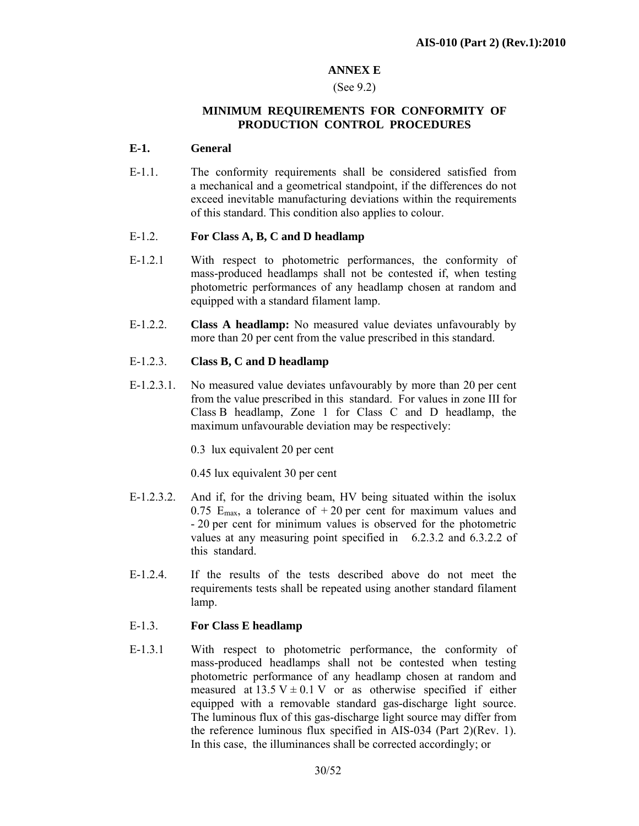## **ANNEX E**

#### (See 9.2)

## **MINIMUM REQUIREMENTS FOR CONFORMITY OF PRODUCTION CONTROL PROCEDURES**

#### **E-1. General**

E-1.1. The conformity requirements shall be considered satisfied from a mechanical and a geometrical standpoint, if the differences do not exceed inevitable manufacturing deviations within the requirements of this standard. This condition also applies to colour.

## E-1.2. **For Class A, B, C and D headlamp**

- E-1.2.1 With respect to photometric performances, the conformity of mass-produced headlamps shall not be contested if, when testing photometric performances of any headlamp chosen at random and equipped with a standard filament lamp.
- E-1.2.2. **Class A headlamp:** No measured value deviates unfavourably by more than 20 per cent from the value prescribed in this standard.

## E-1.2.3. **Class B, C and D headlamp**

E-1.2.3.1. No measured value deviates unfavourably by more than 20 per cent from the value prescribed in this standard. For values in zone III for Class B headlamp, Zone 1 for Class C and D headlamp, the maximum unfavourable deviation may be respectively:

0.3 lux equivalent 20 per cent

0.45 lux equivalent 30 per cent

- E-1.2.3.2. And if, for the driving beam, HV being situated within the isolux 0.75  $E_{\text{max}}$ , a tolerance of +20 per cent for maximum values and - 20 per cent for minimum values is observed for the photometric values at any measuring point specified in 6.2.3.2 and 6.3.2.2 of this standard.
- E-1.2.4. If the results of the tests described above do not meet the requirements tests shall be repeated using another standard filament lamp.

#### E-1.3. **For Class E headlamp**

E-1.3.1 With respect to photometric performance, the conformity of mass-produced headlamps shall not be contested when testing photometric performance of any headlamp chosen at random and measured at 13.5 V  $\pm$  0.1 V or as otherwise specified if either equipped with a removable standard gas-discharge light source. The luminous flux of this gas-discharge light source may differ from the reference luminous flux specified in AIS-034 (Part 2)(Rev. 1). In this case, the illuminances shall be corrected accordingly; or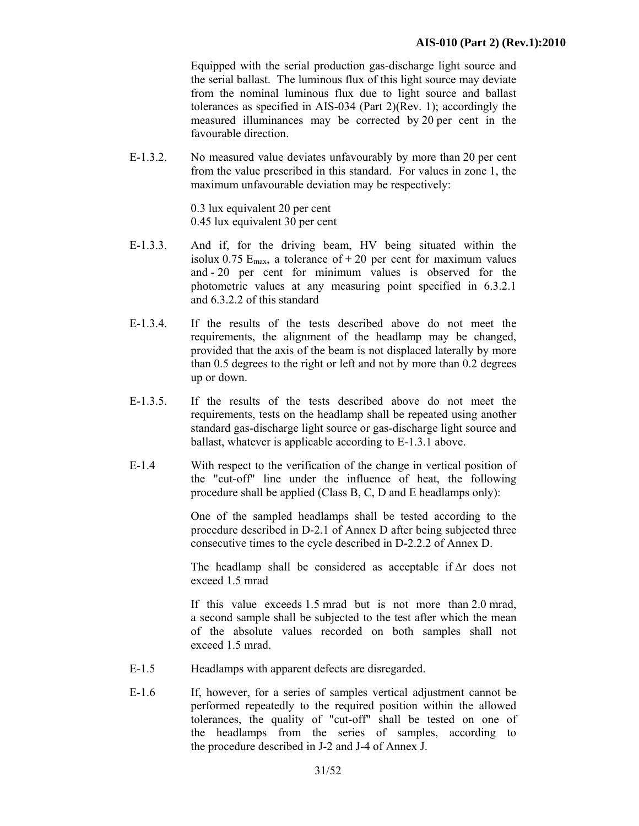Equipped with the serial production gas-discharge light source and the serial ballast. The luminous flux of this light source may deviate from the nominal luminous flux due to light source and ballast tolerances as specified in AIS-034 (Part 2)(Rev. 1); accordingly the measured illuminances may be corrected by 20 per cent in the favourable direction.

E-1.3.2. No measured value deviates unfavourably by more than 20 per cent from the value prescribed in this standard. For values in zone 1, the maximum unfavourable deviation may be respectively:

> 0.3 lux equivalent 20 per cent 0.45 lux equivalent 30 per cent

- E-1.3.3. And if, for the driving beam, HV being situated within the isolux 0.75  $E_{max}$ , a tolerance of + 20 per cent for maximum values and - 20 per cent for minimum values is observed for the photometric values at any measuring point specified in 6.3.2.1 and 6.3.2.2 of this standard
- E-1.3.4. If the results of the tests described above do not meet the requirements, the alignment of the headlamp may be changed, provided that the axis of the beam is not displaced laterally by more than 0.5 degrees to the right or left and not by more than 0.2 degrees up or down.
- E-1.3.5. If the results of the tests described above do not meet the requirements, tests on the headlamp shall be repeated using another standard gas-discharge light source or gas-discharge light source and ballast, whatever is applicable according to E-1.3.1 above.
- E-1.4 With respect to the verification of the change in vertical position of the "cut-off" line under the influence of heat, the following procedure shall be applied (Class B, C, D and E headlamps only):

 One of the sampled headlamps shall be tested according to the procedure described in D-2.1 of Annex D after being subjected three consecutive times to the cycle described in D-2.2.2 of Annex D.

The headlamp shall be considered as acceptable if ∆r does not exceed 1.5 mrad

If this value exceeds 1.5 mrad but is not more than 2.0 mrad, a second sample shall be subjected to the test after which the mean of the absolute values recorded on both samples shall not exceed 1.5 mrad.

- E-1.5 Headlamps with apparent defects are disregarded.
- E-1.6 If, however, for a series of samples vertical adjustment cannot be performed repeatedly to the required position within the allowed tolerances, the quality of "cut-off" shall be tested on one of the headlamps from the series of samples, according to the procedure described in J-2 and J-4 of Annex J.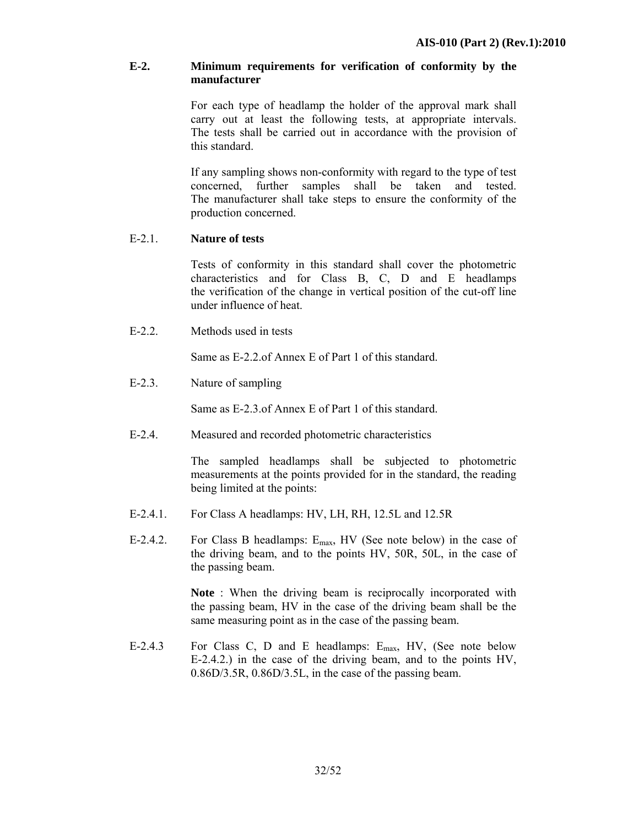## **E-2. Minimum requirements for verification of conformity by the manufacturer**

For each type of headlamp the holder of the approval mark shall carry out at least the following tests, at appropriate intervals. The tests shall be carried out in accordance with the provision of this standard.

If any sampling shows non-conformity with regard to the type of test concerned, further samples shall be taken and tested. The manufacturer shall take steps to ensure the conformity of the production concerned.

## E-2.1. **Nature of tests**

 Tests of conformity in this standard shall cover the photometric characteristics and for Class B, C, D and E headlamps the verification of the change in vertical position of the cut-off line under influence of heat.

E-2.2. Methods used in tests

Same as E-2.2.of Annex E of Part 1 of this standard.

E-2.3. Nature of sampling

Same as E-2.3.of Annex E of Part 1 of this standard.

E-2.4. Measured and recorded photometric characteristics

The sampled headlamps shall be subjected to photometric measurements at the points provided for in the standard, the reading being limited at the points:

- E-2.4.1. For Class A headlamps: HV, LH, RH, 12.5L and 12.5R
- E-2.4.2. For Class B headlamps:  $E_{\text{max}}$ , HV (See note below) in the case of the driving beam, and to the points HV, 50R, 50L, in the case of the passing beam.

**Note** : When the driving beam is reciprocally incorporated with the passing beam, HV in the case of the driving beam shall be the same measuring point as in the case of the passing beam.

E-2.4.3 For Class C, D and E headlamps: E<sub>max</sub>, HV, (See note below E-2.4.2.) in the case of the driving beam, and to the points HV, 0.86D/3.5R, 0.86D/3.5L, in the case of the passing beam.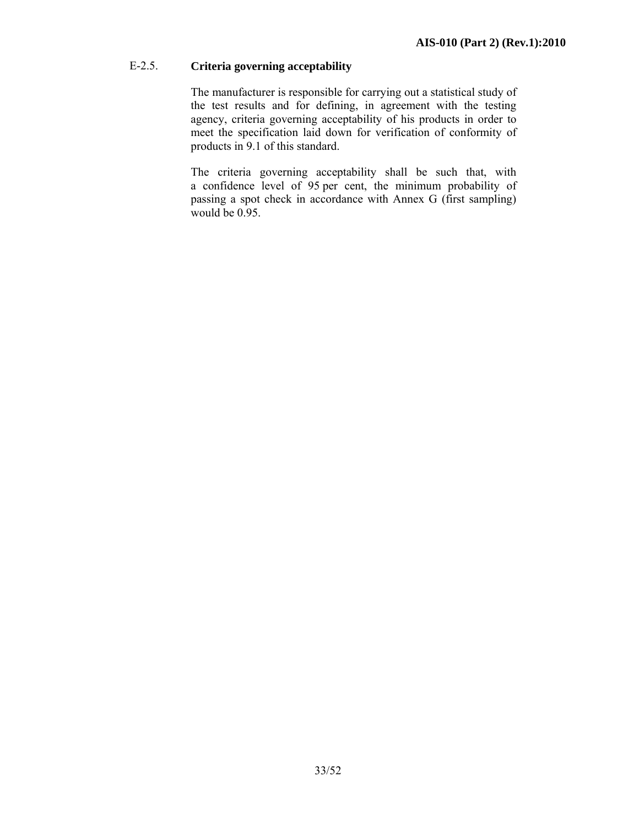## E-2.5. **Criteria governing acceptability**

The manufacturer is responsible for carrying out a statistical study of the test results and for defining, in agreement with the testing agency, criteria governing acceptability of his products in order to meet the specification laid down for verification of conformity of products in 9.1 of this standard.

The criteria governing acceptability shall be such that, with a confidence level of 95 per cent, the minimum probability of passing a spot check in accordance with Annex G (first sampling) would be 0.95.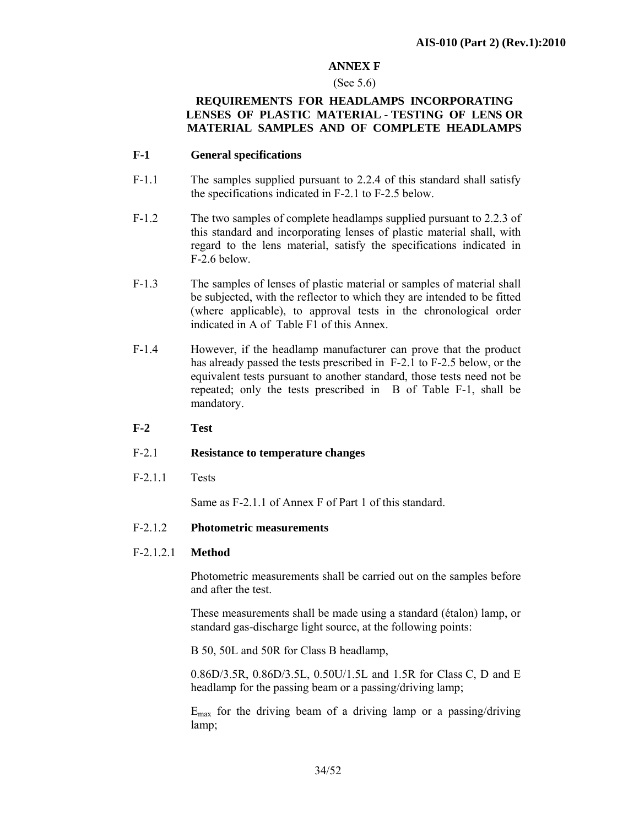#### **ANNEX F**

#### (See 5.6)

## **REQUIREMENTS FOR HEADLAMPS INCORPORATING LENSES OF PLASTIC MATERIAL - TESTING OF LENS OR MATERIAL SAMPLES AND OF COMPLETE HEADLAMPS**

## **F-1 General specifications**

- F-1.1 The samples supplied pursuant to 2.2.4 of this standard shall satisfy the specifications indicated in F-2.1 to F-2.5 below.
- F-1.2 The two samples of complete headlamps supplied pursuant to 2.2.3 of this standard and incorporating lenses of plastic material shall, with regard to the lens material, satisfy the specifications indicated in F-2.6 below.
- F-1.3 The samples of lenses of plastic material or samples of material shall be subjected, with the reflector to which they are intended to be fitted (where applicable), to approval tests in the chronological order indicated in A of Table F1 of this Annex.
- F-1.4 However, if the headlamp manufacturer can prove that the product has already passed the tests prescribed in F-2.1 to F-2.5 below, or the equivalent tests pursuant to another standard, those tests need not be repeated; only the tests prescribed in B of Table F-1, shall be mandatory.
- **F-2 Test**

#### F-2.1 **Resistance to temperature changes**

F-2.1.1 Tests

Same as F-2.1.1 of Annex F of Part 1 of this standard.

#### F-2.1.2 **Photometric measurements**

#### F-2.1.2.1 **Method**

 Photometric measurements shall be carried out on the samples before and after the test.

These measurements shall be made using a standard (étalon) lamp, or standard gas-discharge light source, at the following points:

B 50, 50L and 50R for Class B headlamp,

0.86D/3.5R, 0.86D/3.5L, 0.50U/1.5L and 1.5R for Class C, D and E headlamp for the passing beam or a passing/driving lamp;

 $E_{\text{max}}$  for the driving beam of a driving lamp or a passing/driving lamp;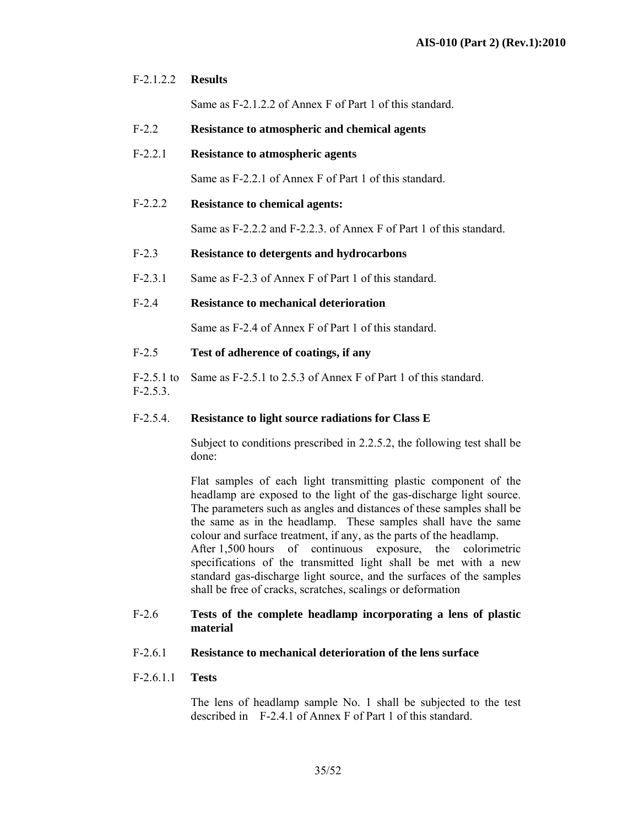## F-2.1.2.2 **Results**

Same as F-2.1.2.2 of Annex F of Part 1 of this standard.

- F-2.2 **Resistance to atmospheric and chemical agents**
- F-2.2.1 **Resistance to atmospheric agents**

Same as F-2.2.1 of Annex F of Part 1 of this standard.

F-2.2.2 **Resistance to chemical agents:** 

Same as F-2.2.2 and F-2.2.3. of Annex F of Part 1 of this standard.

- F-2.3 **Resistance to detergents and hydrocarbons**
- F-2.3.1 Same as F-2.3 of Annex F of Part 1 of this standard.

## F-2.4 **Resistance to mechanical deterioration**

Same as F-2.4 of Annex F of Part 1 of this standard.

- F-2.5 **Test of adherence of coatings, if any**
- F-2.5.1 to F-2.5.3. Same as F-2.5.1 to 2.5.3 of Annex F of Part 1 of this standard.

## F-2.5.4. **Resistance to light source radiations for Class E**

 Subject to conditions prescribed in 2.2.5.2, the following test shall be done:

Flat samples of each light transmitting plastic component of the headlamp are exposed to the light of the gas-discharge light source. The parameters such as angles and distances of these samples shall be the same as in the headlamp. These samples shall have the same colour and surface treatment, if any, as the parts of the headlamp.

After 1,500 hours of continuous exposure, the colorimetric specifications of the transmitted light shall be met with a new standard gas-discharge light source, and the surfaces of the samples shall be free of cracks, scratches, scalings or deformation

#### F-2.6 **Tests of the complete headlamp incorporating a lens of plastic material**

#### F-2.6.1 **Resistance to mechanical deterioration of the lens surface**

F-2.6.1.1 **Tests** 

 The lens of headlamp sample No. 1 shall be subjected to the test described in F-2.4.1 of Annex F of Part 1 of this standard.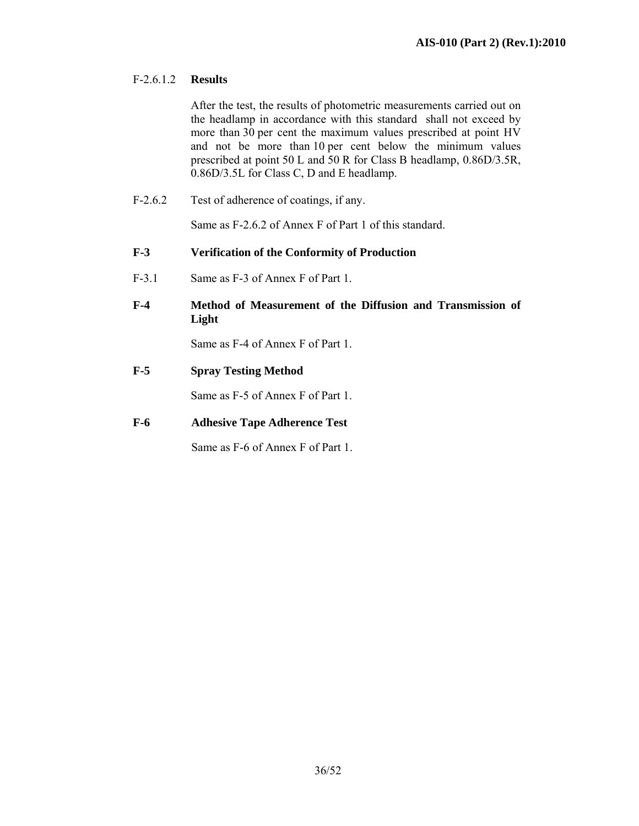## F-2.6.1.2 **Results**

 After the test, the results of photometric measurements carried out on the headlamp in accordance with this standard shall not exceed by more than 30 per cent the maximum values prescribed at point HV and not be more than 10 per cent below the minimum values prescribed at point 50 L and 50 R for Class B headlamp, 0.86D/3.5R, 0.86D/3.5L for Class C, D and E headlamp.

F-2.6.2 Test of adherence of coatings, if any.

Same as F-2.6.2 of Annex F of Part 1 of this standard.

## **F-3 Verification of the Conformity of Production**

- F-3.1 Same as F-3 of Annex F of Part 1.
- **F-4 Method of Measurement of the Diffusion and Transmission of Light**

Same as F-4 of Annex F of Part 1.

**F-5 Spray Testing Method** 

Same as F-5 of Annex F of Part 1.

## **F-6 Adhesive Tape Adherence Test**

Same as F-6 of Annex F of Part 1.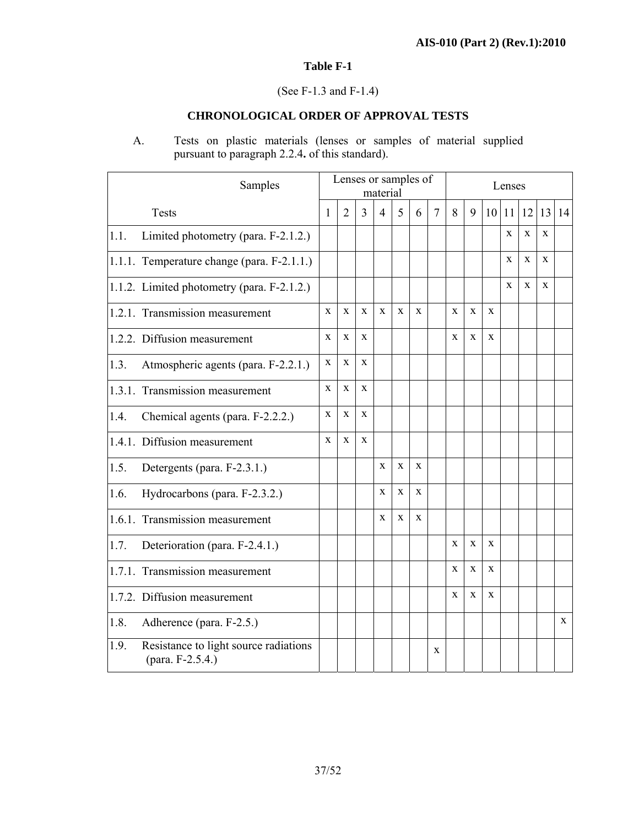## **Table F-1**

## (See F-1.3 and F-1.4)

## **CHRONOLOGICAL ORDER OF APPROVAL TESTS**

A. Tests on plastic materials (lenses or samples of material supplied pursuant to paragraph 2.2.4**.** of this standard).

| Samples                                                           |              | Lenses or samples of<br>material |              |                |             |              | Lenses         |              |              |              |             |    |              |    |
|-------------------------------------------------------------------|--------------|----------------------------------|--------------|----------------|-------------|--------------|----------------|--------------|--------------|--------------|-------------|----|--------------|----|
| <b>Tests</b>                                                      | 1            | $\overline{2}$                   | 3            | $\overline{4}$ | 5           | 6            | $\overline{7}$ | 8            | 9            | 10           | 11          | 12 | 13           | 14 |
| 1.1.<br>Limited photometry (para. F-2.1.2.)                       |              |                                  |              |                |             |              |                |              |              |              | $\mathbf X$ | X  | X            |    |
| 1.1.1. Temperature change (para. F-2.1.1.)                        |              |                                  |              |                |             |              |                |              |              |              | X           | X  | $\mathbf{X}$ |    |
| 1.1.2. Limited photometry (para. F-2.1.2.)                        |              |                                  |              |                |             |              |                |              |              |              | X           | X  | X            |    |
| 1.2.1. Transmission measurement                                   | $\mathbf x$  | $\mathbf{x}$                     | $\mathbf{x}$ | $\mathbf{x}$   | $\mathbf x$ | $\mathbf{x}$ |                | X            | $\mathbf{x}$ | $\mathbf{x}$ |             |    |              |    |
| 1.2.2. Diffusion measurement                                      | X            | $\mathbf{x}$                     | $\mathbf{X}$ |                |             |              |                | X            | X            | $\mathbf{x}$ |             |    |              |    |
| 1.3.<br>Atmospheric agents (para. F-2.2.1.)                       | X            | $\mathbf X$                      | $\mathbf X$  |                |             |              |                |              |              |              |             |    |              |    |
| 1.3.1. Transmission measurement                                   | X            | X                                | X            |                |             |              |                |              |              |              |             |    |              |    |
| 1.4.<br>Chemical agents (para. F-2.2.2.)                          | X            | X                                | X            |                |             |              |                |              |              |              |             |    |              |    |
| 1.4.1. Diffusion measurement                                      | $\mathbf{x}$ | X                                | X            |                |             |              |                |              |              |              |             |    |              |    |
| 1.5.<br>Detergents (para. F-2.3.1.)                               |              |                                  |              | X              | X           | X            |                |              |              |              |             |    |              |    |
| 1.6.<br>Hydrocarbons (para. F-2.3.2.)                             |              |                                  |              | X              | X           | X            |                |              |              |              |             |    |              |    |
| 1.6.1. Transmission measurement                                   |              |                                  |              | X              | X           | X            |                |              |              |              |             |    |              |    |
| 1.7.<br>Deterioration (para. F-2.4.1.)                            |              |                                  |              |                |             |              |                | X            | X            | X            |             |    |              |    |
| 1.7.1. Transmission measurement                                   |              |                                  |              |                |             |              |                | $\mathbf{x}$ | $\mathbf{x}$ | X            |             |    |              |    |
| 1.7.2. Diffusion measurement                                      |              |                                  |              |                |             |              |                | X            | X            | X            |             |    |              |    |
| 1.8.<br>Adherence (para. F-2.5.)                                  |              |                                  |              |                |             |              |                |              |              |              |             |    |              | X  |
| 1.9.<br>Resistance to light source radiations<br>(para. F-2.5.4.) |              |                                  |              |                |             |              | X              |              |              |              |             |    |              |    |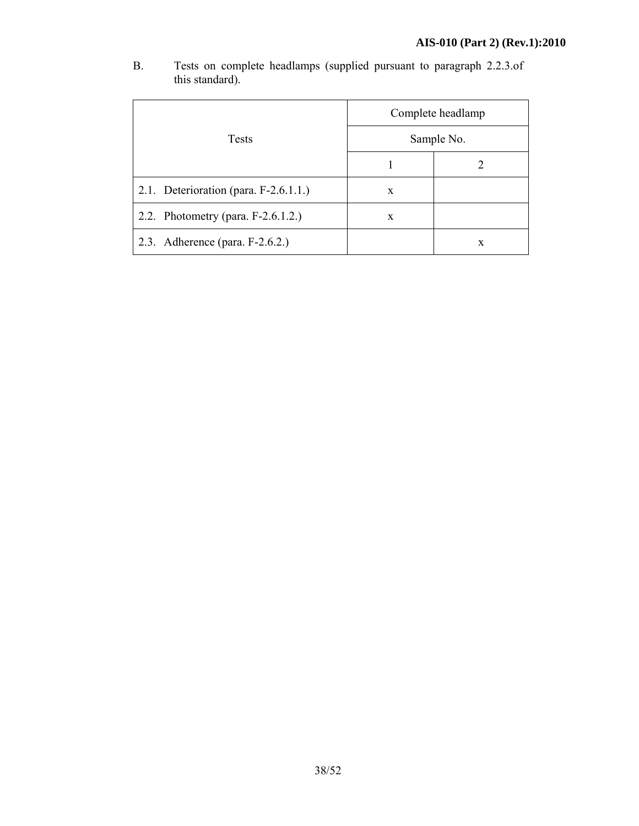|                                          | Complete headlamp |   |  |  |  |
|------------------------------------------|-------------------|---|--|--|--|
| <b>Tests</b>                             | Sample No.        |   |  |  |  |
|                                          |                   |   |  |  |  |
| 2.1. Deterioration (para. $F-2.6.1.1$ .) | X                 |   |  |  |  |
| 2.2. Photometry (para. F-2.6.1.2.)       | X                 |   |  |  |  |
| 2.3. Adherence (para. $F-2.6.2$ .)       |                   | X |  |  |  |

B. Tests on complete headlamps (supplied pursuant to paragraph 2.2.3.of this standard).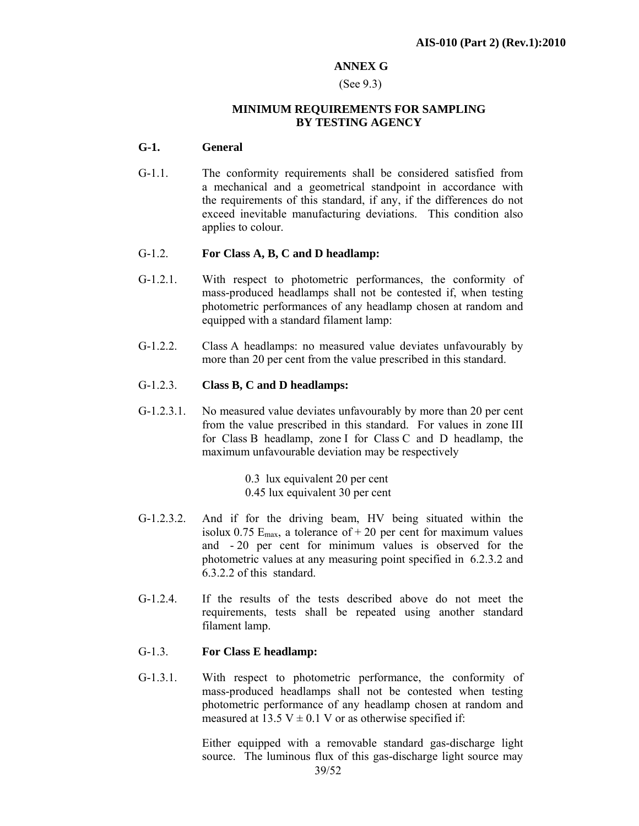#### **ANNEX G**

#### (See 9.3)

#### **MINIMUM REQUIREMENTS FOR SAMPLING BY TESTING AGENCY**

#### **G-1. General**

G-1.1. The conformity requirements shall be considered satisfied from a mechanical and a geometrical standpoint in accordance with the requirements of this standard, if any, if the differences do not exceed inevitable manufacturing deviations. This condition also applies to colour.

## G-1.2. **For Class A, B, C and D headlamp:**

- G-1.2.1. With respect to photometric performances, the conformity of mass-produced headlamps shall not be contested if, when testing photometric performances of any headlamp chosen at random and equipped with a standard filament lamp:
- G-1.2.2. Class A headlamps: no measured value deviates unfavourably by more than 20 per cent from the value prescribed in this standard.

#### G-1.2.3. **Class B, C and D headlamps:**

G-1.2.3.1. No measured value deviates unfavourably by more than 20 per cent from the value prescribed in this standard. For values in zone III for Class B headlamp, zone I for Class C and D headlamp, the maximum unfavourable deviation may be respectively

> 0.3 lux equivalent 20 per cent 0.45 lux equivalent 30 per cent

- G-1.2.3.2. And if for the driving beam, HV being situated within the isolux 0.75  $E_{\text{max}}$ , a tolerance of + 20 per cent for maximum values and - 20 per cent for minimum values is observed for the photometric values at any measuring point specified in 6.2.3.2 and 6.3.2.2 of this standard.
- G-1.2.4. If the results of the tests described above do not meet the requirements, tests shall be repeated using another standard filament lamp.

#### G-1.3. **For Class E headlamp:**

G-1.3.1. With respect to photometric performance, the conformity of mass-produced headlamps shall not be contested when testing photometric performance of any headlamp chosen at random and measured at 13.5 V  $\pm$  0.1 V or as otherwise specified if:

> Either equipped with a removable standard gas-discharge light source. The luminous flux of this gas-discharge light source may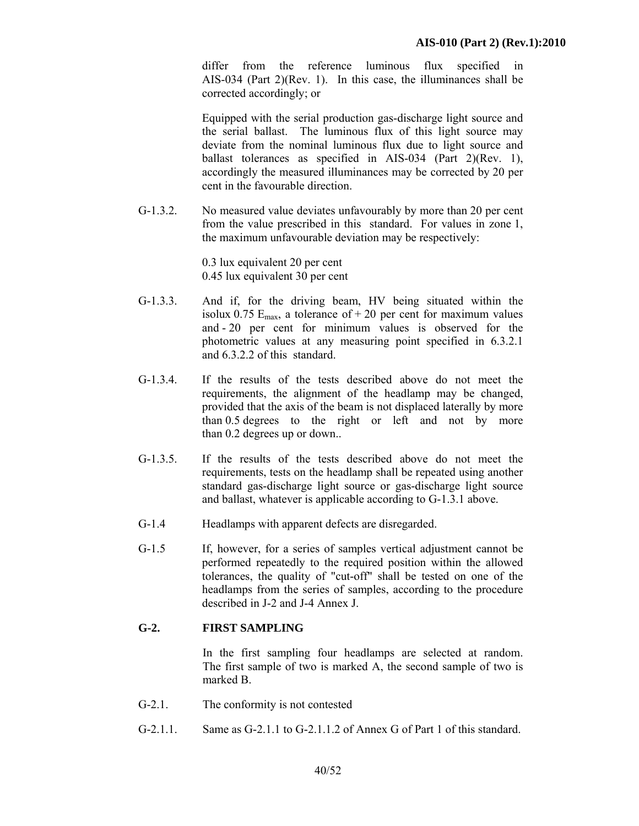differ from the reference luminous flux specified in AIS-034 (Part 2)(Rev. 1). In this case, the illuminances shall be corrected accordingly; or

Equipped with the serial production gas-discharge light source and the serial ballast. The luminous flux of this light source may deviate from the nominal luminous flux due to light source and ballast tolerances as specified in AIS-034 (Part 2)(Rev. 1), accordingly the measured illuminances may be corrected by 20 per cent in the favourable direction.

G-1.3.2. No measured value deviates unfavourably by more than 20 per cent from the value prescribed in this standard. For values in zone 1, the maximum unfavourable deviation may be respectively:

> 0.3 lux equivalent 20 per cent 0.45 lux equivalent 30 per cent

- G-1.3.3. And if, for the driving beam, HV being situated within the isolux 0.75  $E_{max}$ , a tolerance of + 20 per cent for maximum values and - 20 per cent for minimum values is observed for the photometric values at any measuring point specified in 6.3.2.1 and 6.3.2.2 of this standard.
- G-1.3.4. If the results of the tests described above do not meet the requirements, the alignment of the headlamp may be changed, provided that the axis of the beam is not displaced laterally by more than 0.5 degrees to the right or left and not by more than 0.2 degrees up or down..
- G-1.3.5. If the results of the tests described above do not meet the requirements, tests on the headlamp shall be repeated using another standard gas-discharge light source or gas-discharge light source and ballast, whatever is applicable according to G-1.3.1 above.
- G-1.4 Headlamps with apparent defects are disregarded.
- G-1.5 If, however, for a series of samples vertical adjustment cannot be performed repeatedly to the required position within the allowed tolerances, the quality of "cut-off" shall be tested on one of the headlamps from the series of samples, according to the procedure described in J-2 and J-4 Annex J.

## **G-2. FIRST SAMPLING**

In the first sampling four headlamps are selected at random. The first sample of two is marked A, the second sample of two is marked B.

- G-2.1. The conformity is not contested
- $G-2.1.1.$  Same as  $G-2.1.1$  to  $G-2.1.1.2$  of Annex G of Part 1 of this standard.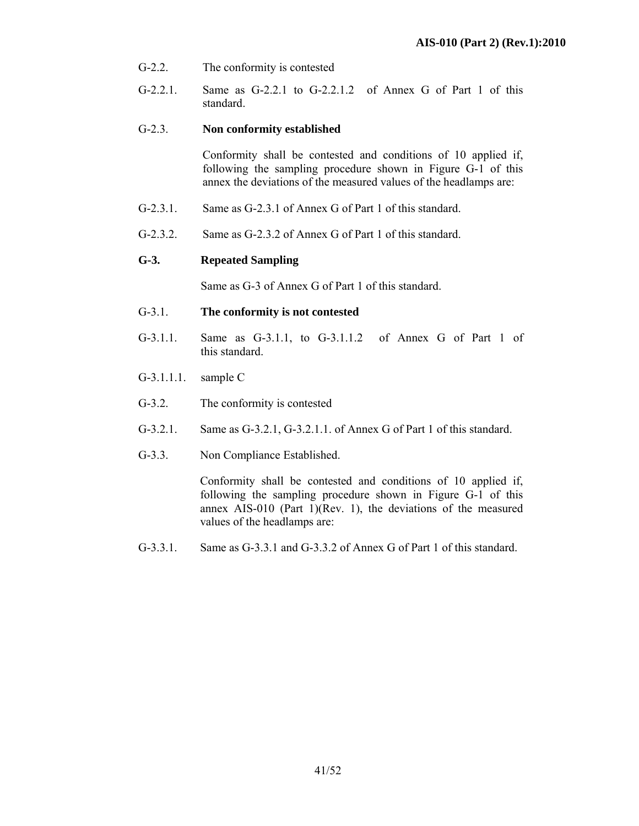- G-2.2. The conformity is contested
- G-2.2.1. Same as G-2.2.1 to G-2.2.1.2 of Annex G of Part 1 of this standard.

#### G-2.3. **Non conformity established**

 Conformity shall be contested and conditions of 10 applied if, following the sampling procedure shown in Figure G-1 of this annex the deviations of the measured values of the headlamps are:

- G-2.3.1. Same as G-2.3.1 of Annex G of Part 1 of this standard.
- G-2.3.2. Same as G-2.3.2 of Annex G of Part 1 of this standard.

## **G-3. Repeated Sampling**

Same as G-3 of Annex G of Part 1 of this standard.

## G-3.1. **The conformity is not contested**

- G-3.1.1. Same as G-3.1.1, to G-3.1.1.2 of Annex G of Part 1 of this standard.
- G-3.1.1.1. sample C
- G-3.2. The conformity is contested
- G-3.2.1. Same as G-3.2.1, G-3.2.1.1. of Annex G of Part 1 of this standard.
- G-3.3. Non Compliance Established.

 Conformity shall be contested and conditions of 10 applied if, following the sampling procedure shown in Figure G-1 of this annex AIS-010 (Part 1)(Rev. 1), the deviations of the measured values of the headlamps are:

G-3.3.1. Same as G-3.3.1 and G-3.3.2 of Annex G of Part 1 of this standard.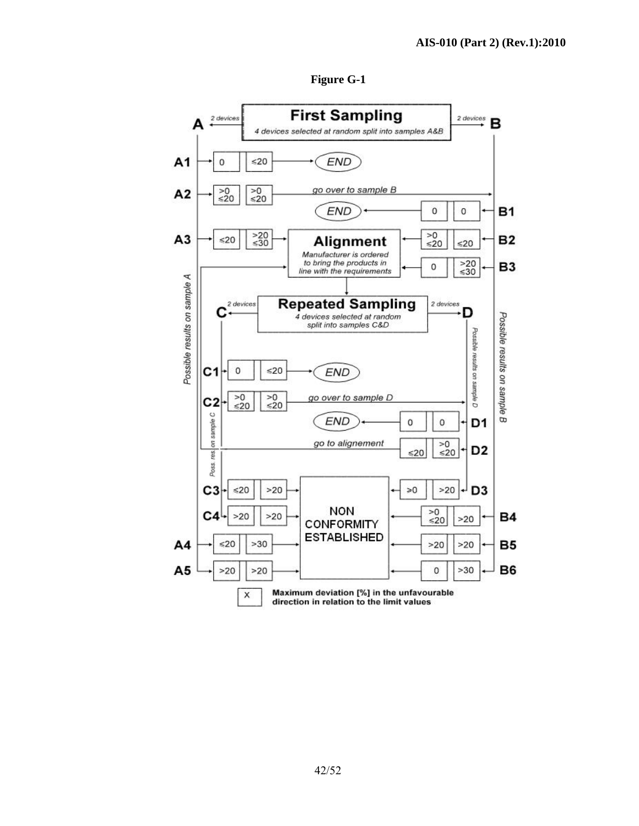

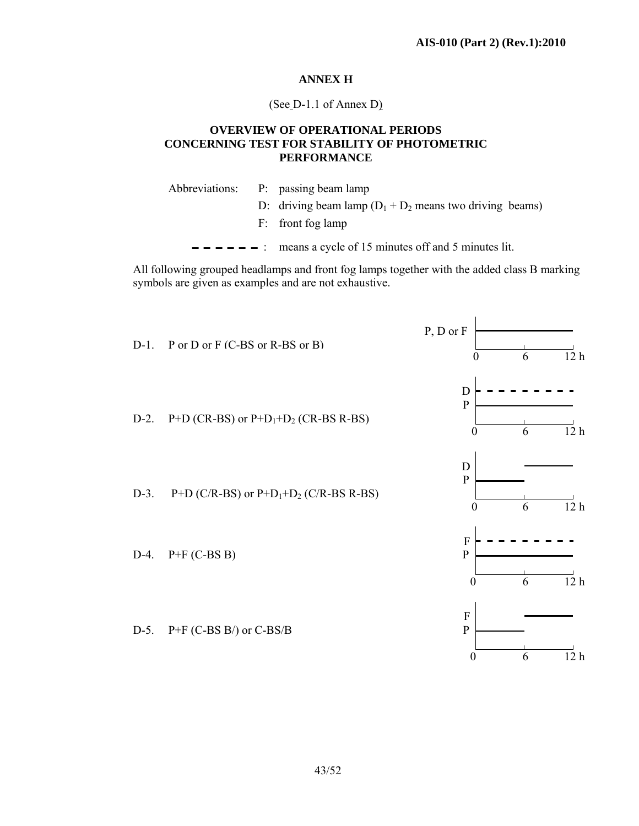## **ANNEX H**

## (See D-1.1 of Annex D)

#### **OVERVIEW OF OPERATIONAL PERIODS CONCERNING TEST FOR STABILITY OF PHOTOMETRIC PERFORMANCE**

Abbreviations: P: passing beam lamp

D: driving beam lamp  $(D_1 + D_2)$  means two driving beams)

F: front fog lamp

: means a cycle of 15 minutes off and 5 minutes lit.

All following grouped headlamps and front fog lamps together with the added class B marking symbols are given as examples and are not exhaustive.

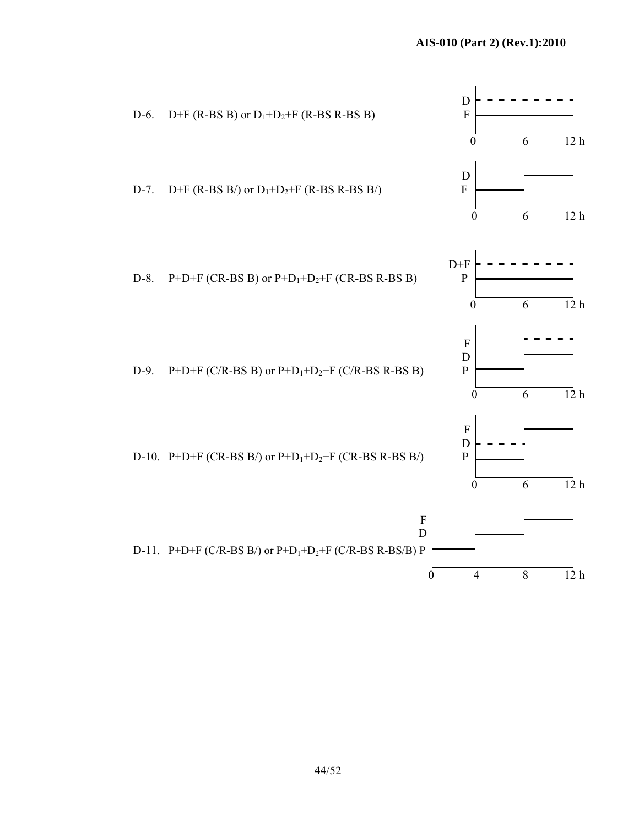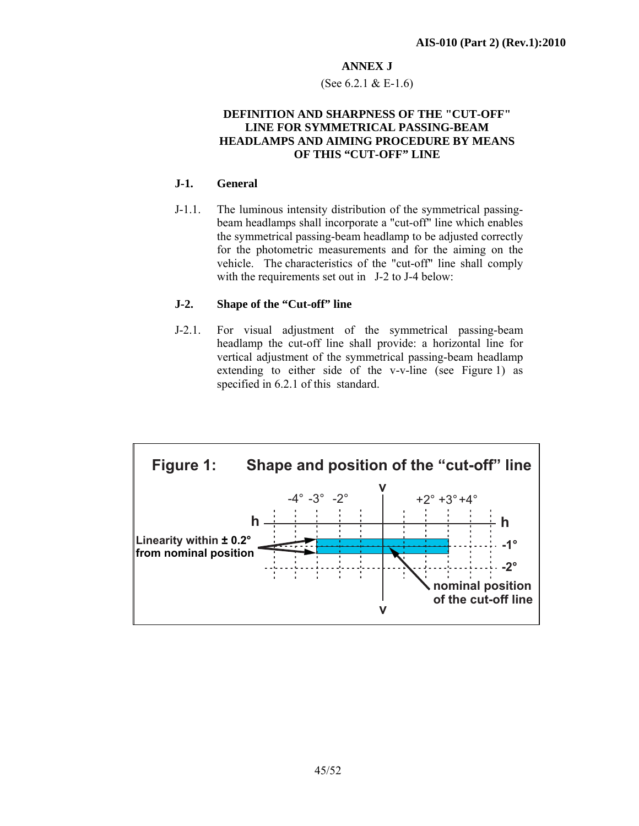#### **ANNEX J**

#### (See 6.2.1 & E-1.6)

## **DEFINITION AND SHARPNESS OF THE "CUT-OFF" LINE FOR SYMMETRICAL PASSING-BEAM HEADLAMPS AND AIMING PROCEDURE BY MEANS OF THIS "CUT-OFF" LINE**

#### **J-1. General**

J-1.1. The luminous intensity distribution of the symmetrical passingbeam headlamps shall incorporate a "cut-off" line which enables the symmetrical passing-beam headlamp to be adjusted correctly for the photometric measurements and for the aiming on the vehicle. The characteristics of the "cut-off" line shall comply with the requirements set out in J-2 to J-4 below:

## **J-2. Shape of the "Cut-off" line**

J-2.1. For visual adjustment of the symmetrical passing-beam headlamp the cut-off line shall provide: a horizontal line for vertical adjustment of the symmetrical passing-beam headlamp extending to either side of the v-v-line (see Figure 1) as specified in 6.2.1 of this standard.

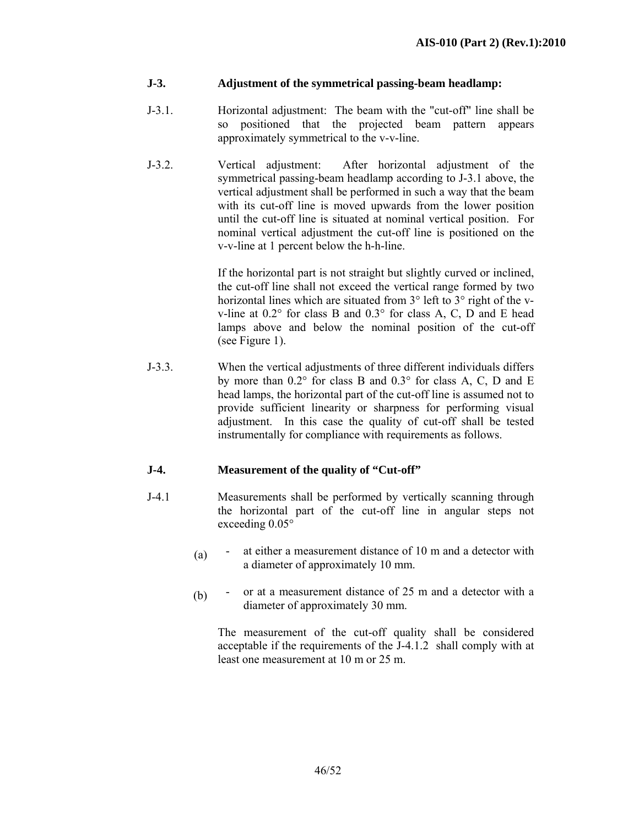## **J-3. Adjustment of the symmetrical passing-beam headlamp:**

- J-3.1. Horizontal adjustment: The beam with the "cut-off" line shall be so positioned that the projected beam pattern appears approximately symmetrical to the v-v-line.
- J-3.2. Vertical adjustment: After horizontal adjustment of the symmetrical passing-beam headlamp according to J-3.1 above, the vertical adjustment shall be performed in such a way that the beam with its cut-off line is moved upwards from the lower position until the cut-off line is situated at nominal vertical position. For nominal vertical adjustment the cut-off line is positioned on the v-v-line at 1 percent below the h-h-line.

If the horizontal part is not straight but slightly curved or inclined, the cut-off line shall not exceed the vertical range formed by two horizontal lines which are situated from 3° left to 3° right of the vv-line at 0.2° for class B and 0.3° for class A, C, D and E head lamps above and below the nominal position of the cut-off (see Figure 1). Ì

J-3.3. When the vertical adjustments of three different individuals differs by more than 0.2° for class B and 0.3° for class A, C, D and E head lamps, the horizontal part of the cut-off line is assumed not to provide sufficient linearity or sharpness for performing visual adjustment. In this case the quality of cut-off shall be tested instrumentally for compliance with requirements as follows.

## **J-4. Measurement of the quality of "Cut-off"**

- J-4.1 Measurements shall be performed by vertically scanning through the horizontal part of the cut-off line in angular steps not exceeding 0.05°
	- (a) at either a measurement distance of 10 m and a detector with a diameter of approximately 10 mm.
	- (b) or at a measurement distance of 25 m and a detector with a diameter of approximately 30 mm.

The measurement of the cut-off quality shall be considered acceptable if the requirements of the J-4.1.2 shall comply with at least one measurement at 10 m or 25 m.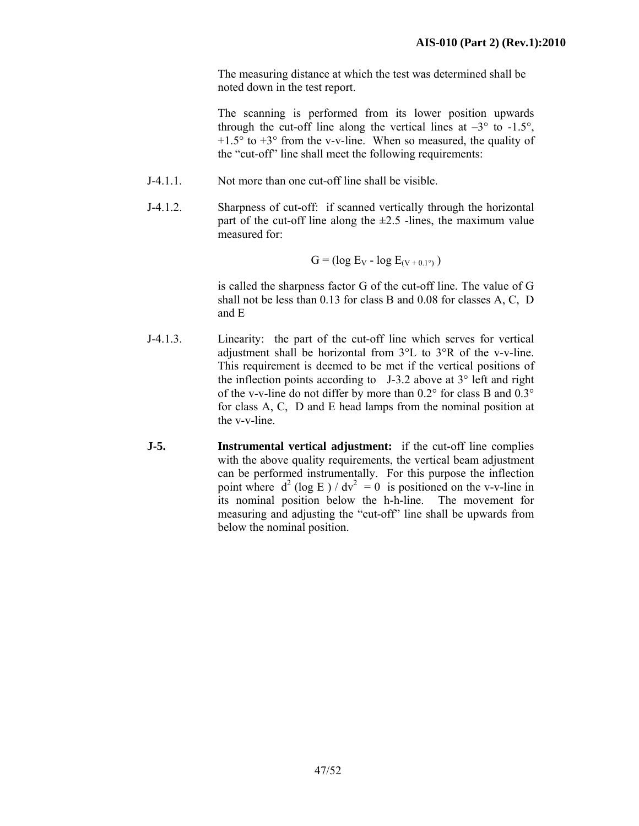The measuring distance at which the test was determined shall be noted down in the test report.

 The scanning is performed from its lower position upwards through the cut-off line along the vertical lines at  $-3^\circ$  to  $-1.5^\circ$ ,  $+1.5^{\circ}$  to  $+3^{\circ}$  from the v-v-line. When so measured, the quality of the "cut-off" line shall meet the following requirements:

- J-4.1.1. Not more than one cut-off line shall be visible.
- J-4.1.2. Sharpness of cut-off: if scanned vertically through the horizontal part of the cut-off line along the  $\pm 2.5$  -lines, the maximum value measured for:

$$
G = (\log E_V - \log E_{(V + 0.1^{\circ})})
$$

is called the sharpness factor G of the cut-off line. The value of G shall not be less than 0.13 for class B and 0.08 for classes A, C, D and E

- J-4.1.3. Linearity: the part of the cut-off line which serves for vertical adjustment shall be horizontal from  $3^{\circ}$ L to  $3^{\circ}$ R of the v-v-line. This requirement is deemed to be met if the vertical positions of the inflection points according to  $J-3.2$  above at  $3^\circ$  left and right of the v-v-line do not differ by more than 0.2° for class B and 0.3° for class A, C, D and E head lamps from the nominal position at the v-v-line.
- **J-5.** Instrumental vertical adjustment: if the cut-off line complies with the above quality requirements, the vertical beam adjustment can be performed instrumentally. For this purpose the inflection point where  $d^2$  (log E ) /  $dv^2 = 0$  is positioned on the v-v-line in its nominal position below the h-h-line. The movement for measuring and adjusting the "cut-off" line shall be upwards from below the nominal position.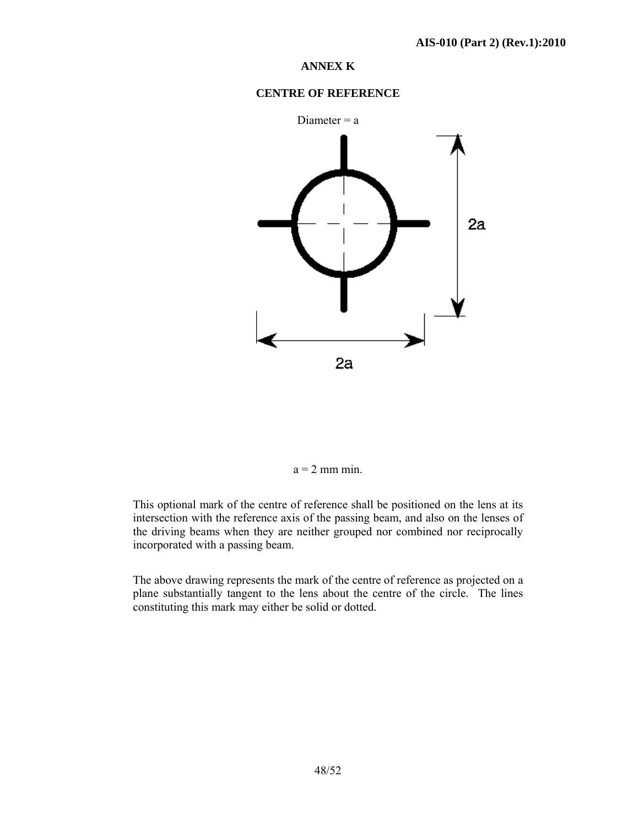## **ANNEX K**

## **CENTRE OF REFERENCE**



#### $a = 2$  mm min.

This optional mark of the centre of reference shall be positioned on the lens at its intersection with the reference axis of the passing beam, and also on the lenses of the driving beams when they are neither grouped nor combined nor reciprocally incorporated with a passing beam.

The above drawing represents the mark of the centre of reference as projected on a plane substantially tangent to the lens about the centre of the circle. The lines constituting this mark may either be solid or dotted.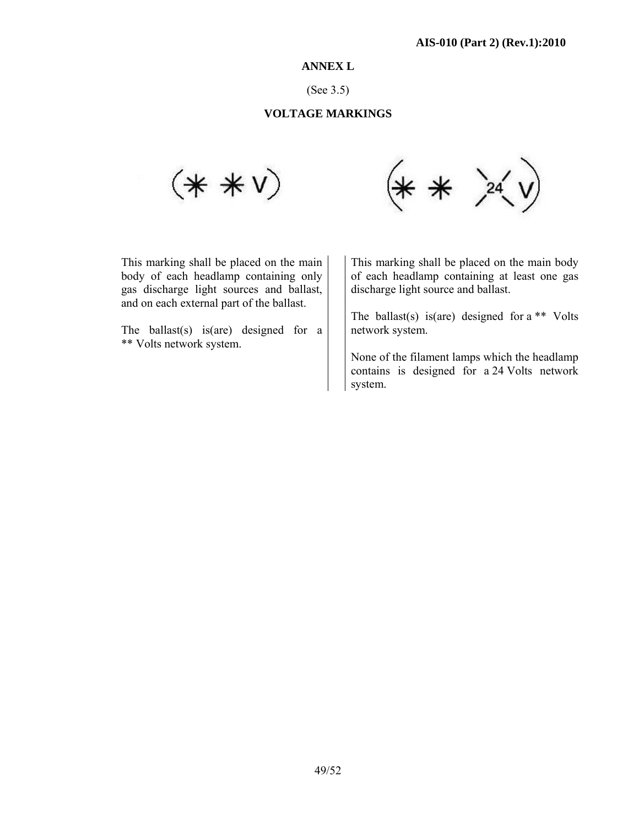#### **ANNEX L**

(See 3.5)

#### **VOLTAGE MARKINGS**

 $(***)$ 



This marking shall be placed on the main body of each headlamp containing only gas discharge light sources and ballast, and on each external part of the ballast.

The ballast(s) is(are) designed for a \*\* Volts network system.

 This marking shall be placed on the main body of each headlamp containing at least one gas discharge light source and ballast.

The ballast(s) is(are) designed for a \*\* Volts network system.

None of the filament lamps which the headlamp contains is designed for a 24 Volts network system.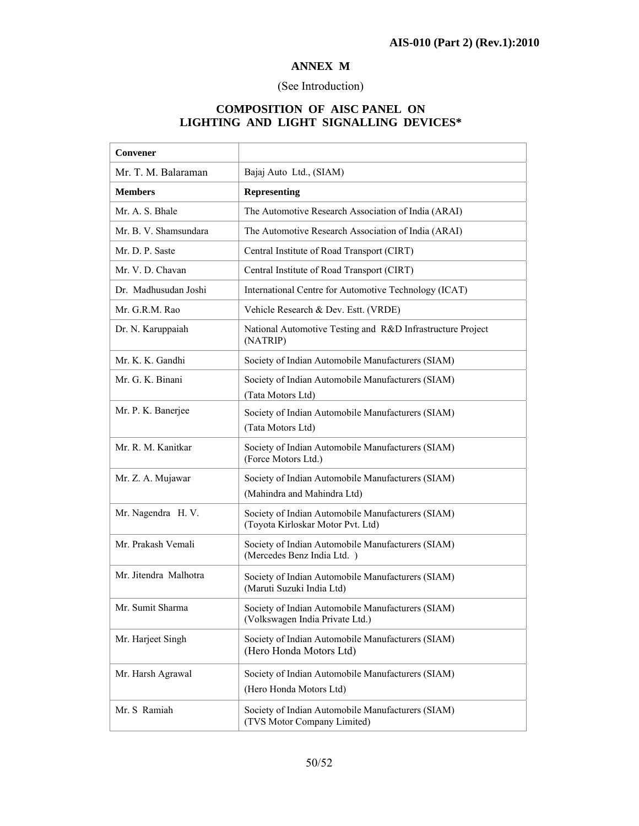٦

# **ANNEX M**

## (See Introduction)

## **COMPOSITION OF AISC PANEL ON LIGHTING AND LIGHT SIGNALLING DEVICES\***

| Convener              |                                                                                        |  |  |  |  |
|-----------------------|----------------------------------------------------------------------------------------|--|--|--|--|
| Mr. T. M. Balaraman   | Bajaj Auto Ltd., (SIAM)                                                                |  |  |  |  |
| Members               | <b>Representing</b>                                                                    |  |  |  |  |
| Mr. A. S. Bhale       | The Automotive Research Association of India (ARAI)                                    |  |  |  |  |
| Mr. B. V. Shamsundara | The Automotive Research Association of India (ARAI)                                    |  |  |  |  |
| Mr. D. P. Saste       | Central Institute of Road Transport (CIRT)                                             |  |  |  |  |
| Mr. V. D. Chavan      | Central Institute of Road Transport (CIRT)                                             |  |  |  |  |
| Dr. Madhusudan Joshi  | International Centre for Automotive Technology (ICAT)                                  |  |  |  |  |
| Mr. G.R.M. Rao        | Vehicle Research & Dev. Estt. (VRDE)                                                   |  |  |  |  |
| Dr. N. Karuppaiah     | National Automotive Testing and R&D Infrastructure Project<br>(NATRIP)                 |  |  |  |  |
| Mr. K. K. Gandhi      | Society of Indian Automobile Manufacturers (SIAM)                                      |  |  |  |  |
| Mr. G. K. Binani      | Society of Indian Automobile Manufacturers (SIAM)<br>(Tata Motors Ltd)                 |  |  |  |  |
| Mr. P. K. Banerjee    | Society of Indian Automobile Manufacturers (SIAM)<br>(Tata Motors Ltd)                 |  |  |  |  |
| Mr. R. M. Kanitkar    | Society of Indian Automobile Manufacturers (SIAM)<br>(Force Motors Ltd.)               |  |  |  |  |
| Mr. Z. A. Mujawar     | Society of Indian Automobile Manufacturers (SIAM)<br>(Mahindra and Mahindra Ltd)       |  |  |  |  |
| Mr. Nagendra H. V.    | Society of Indian Automobile Manufacturers (SIAM)<br>(Toyota Kirloskar Motor Pvt. Ltd) |  |  |  |  |
| Mr. Prakash Vemali    | Society of Indian Automobile Manufacturers (SIAM)<br>(Mercedes Benz India Ltd.)        |  |  |  |  |
| Mr. Jitendra Malhotra | Society of Indian Automobile Manufacturers (SIAM)<br>(Maruti Suzuki India Ltd)         |  |  |  |  |
| Mr. Sumit Sharma      | Society of Indian Automobile Manufacturers (SIAM)<br>(Volkswagen India Private Ltd.)   |  |  |  |  |
| Mr. Harjeet Singh     | Society of Indian Automobile Manufacturers (SIAM)<br>(Hero Honda Motors Ltd)           |  |  |  |  |
| Mr. Harsh Agrawal     | Society of Indian Automobile Manufacturers (SIAM)<br>(Hero Honda Motors Ltd)           |  |  |  |  |
| Mr. S Ramiah          | Society of Indian Automobile Manufacturers (SIAM)<br>(TVS Motor Company Limited)       |  |  |  |  |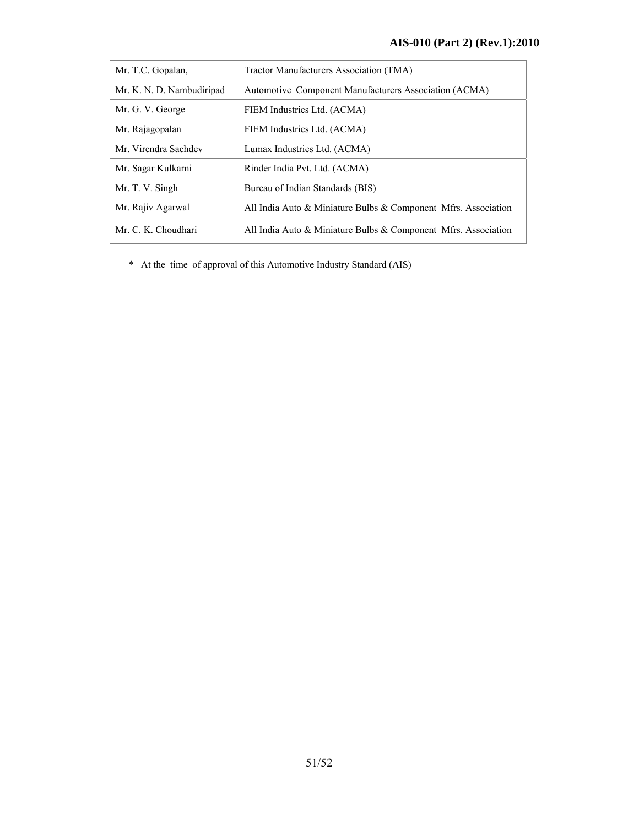| Mr. T.C. Gopalan,         | Tractor Manufacturers Association (TMA)                        |  |  |  |  |
|---------------------------|----------------------------------------------------------------|--|--|--|--|
| Mr. K. N. D. Nambudiripad | Automotive Component Manufacturers Association (ACMA)          |  |  |  |  |
| Mr. G. V. George          | FIEM Industries Ltd. (ACMA)                                    |  |  |  |  |
| Mr. Rajagopalan           | FIEM Industries Ltd. (ACMA)                                    |  |  |  |  |
| Mr. Virendra Sachdev      | Lumax Industries Ltd. (ACMA)                                   |  |  |  |  |
| Mr. Sagar Kulkarni        | Rinder India Pvt. Ltd. (ACMA)                                  |  |  |  |  |
| Mr. T. V. Singh           | Bureau of Indian Standards (BIS)                               |  |  |  |  |
| Mr. Rajiv Agarwal         | All India Auto & Miniature Bulbs & Component Mfrs. Association |  |  |  |  |
| Mr. C. K. Choudhari       | All India Auto & Miniature Bulbs & Component Mfrs. Association |  |  |  |  |

\* At the time of approval of this Automotive Industry Standard (AIS)